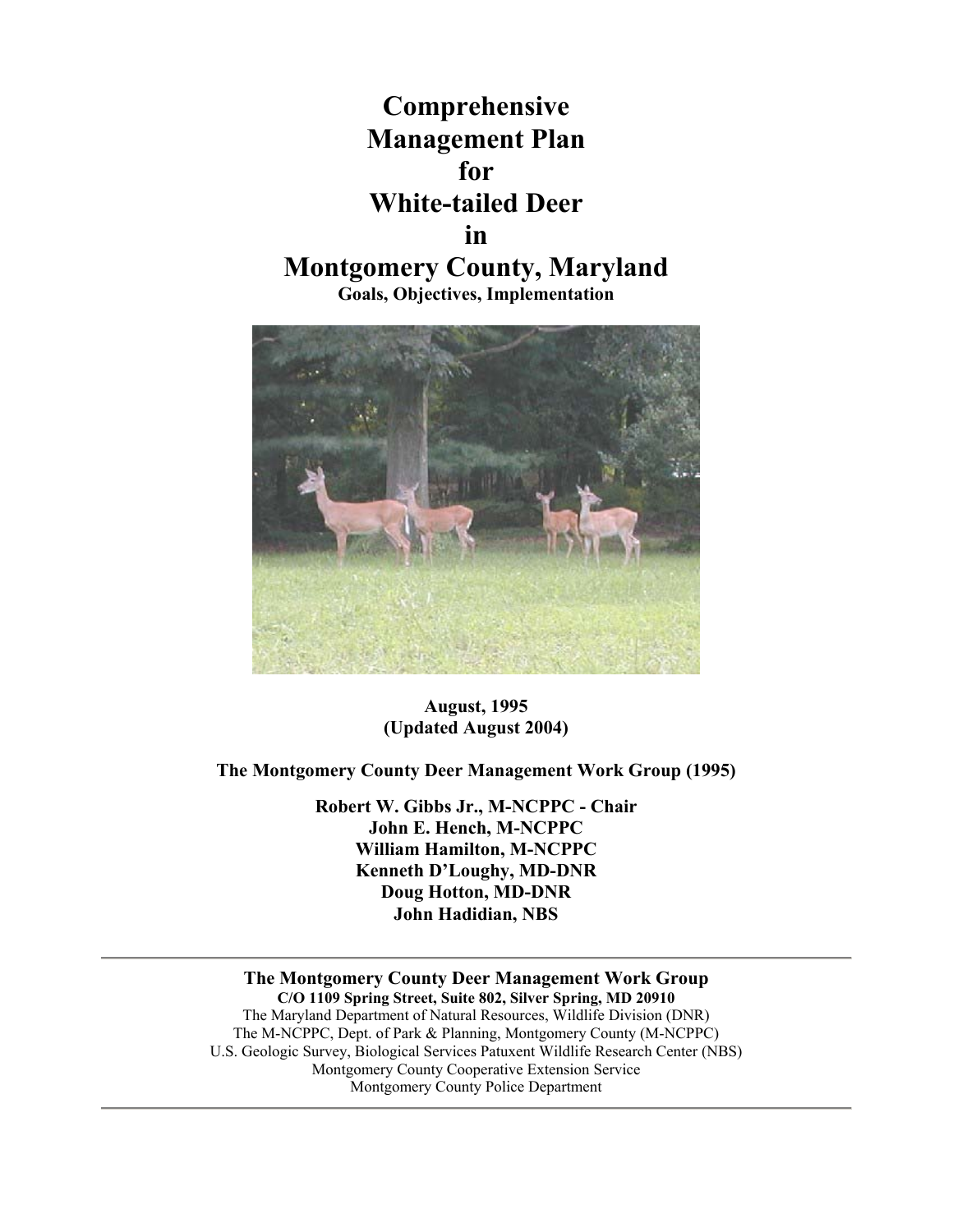



**August, 1995 (Updated August 2004)** 

**The Montgomery County Deer Management Work Group (1995)** 

**Robert W. Gibbs Jr., M-NCPPC - Chair John E. Hench, M-NCPPC William Hamilton, M-NCPPC Kenneth D'Loughy, MD-DNR Doug Hotton, MD-DNR John Hadidian, NBS**

**The Montgomery County Deer Management Work Group C/O 1109 Spring Street, Suite 802, Silver Spring, MD 20910** The Maryland Department of Natural Resources, Wildlife Division (DNR) The M-NCPPC, Dept. of Park & Planning, Montgomery County (M-NCPPC) U.S. Geologic Survey, Biological Services Patuxent Wildlife Research Center (NBS) Montgomery County Cooperative Extension Service Montgomery County Police Department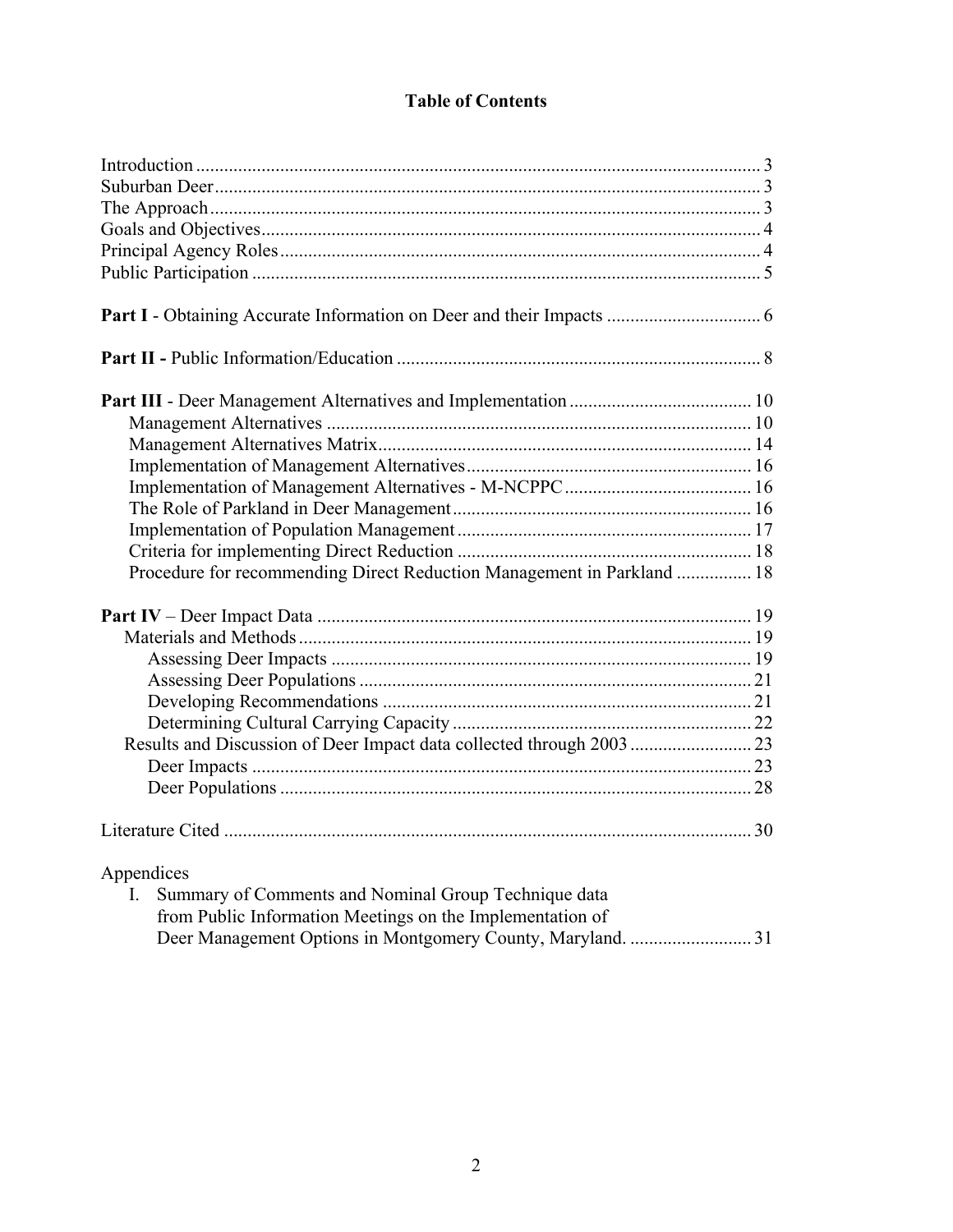# **Table of Contents**

| Procedure for recommending Direct Reduction Management in Parkland  18                                                          |  |
|---------------------------------------------------------------------------------------------------------------------------------|--|
|                                                                                                                                 |  |
|                                                                                                                                 |  |
|                                                                                                                                 |  |
|                                                                                                                                 |  |
|                                                                                                                                 |  |
|                                                                                                                                 |  |
|                                                                                                                                 |  |
|                                                                                                                                 |  |
|                                                                                                                                 |  |
|                                                                                                                                 |  |
| Appendices<br>Summary of Comments and Nominal Group Technique data<br>from Public Information Meetings on the Implementation of |  |
|                                                                                                                                 |  |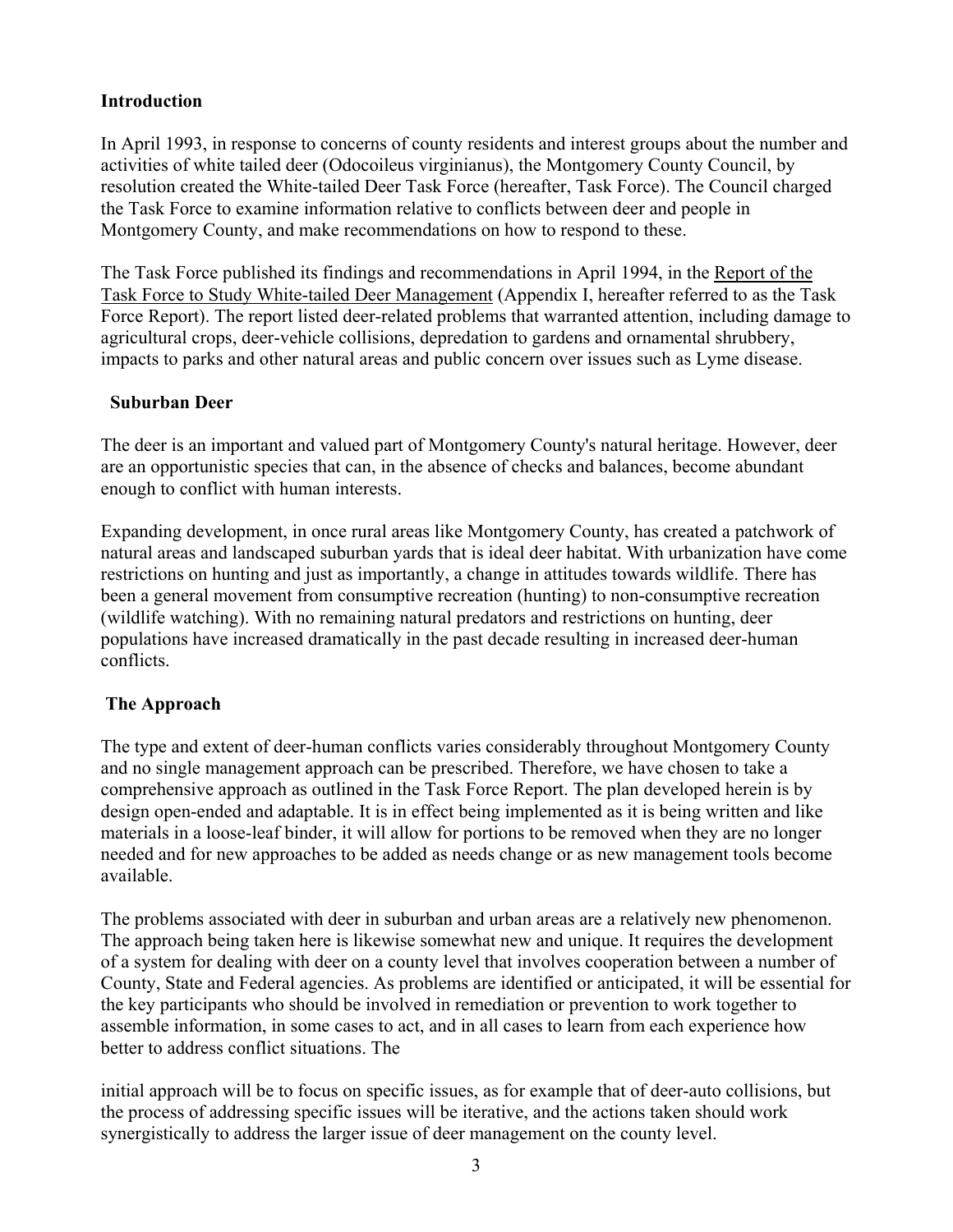#### **Introduction**

In April 1993, in response to concerns of county residents and interest groups about the number and activities of white tailed deer (Odocoileus virginianus), the Montgomery County Council, by resolution created the White-tailed Deer Task Force (hereafter, Task Force). The Council charged the Task Force to examine information relative to conflicts between deer and people in Montgomery County, and make recommendations on how to respond to these.

The Task Force published its findings and recommendations in April 1994, in the Report of the Task Force to Study White-tailed Deer Management (Appendix I, hereafter referred to as the Task Force Report). The report listed deer-related problems that warranted attention, including damage to agricultural crops, deer-vehicle collisions, depredation to gardens and ornamental shrubbery, impacts to parks and other natural areas and public concern over issues such as Lyme disease.

#### **Suburban Deer**

The deer is an important and valued part of Montgomery County's natural heritage. However, deer are an opportunistic species that can, in the absence of checks and balances, become abundant enough to conflict with human interests.

Expanding development, in once rural areas like Montgomery County, has created a patchwork of natural areas and landscaped suburban yards that is ideal deer habitat. With urbanization have come restrictions on hunting and just as importantly, a change in attitudes towards wildlife. There has been a general movement from consumptive recreation (hunting) to non-consumptive recreation (wildlife watching). With no remaining natural predators and restrictions on hunting, deer populations have increased dramatically in the past decade resulting in increased deer-human conflicts.

# **The Approach**

The type and extent of deer-human conflicts varies considerably throughout Montgomery County and no single management approach can be prescribed. Therefore, we have chosen to take a comprehensive approach as outlined in the Task Force Report. The plan developed herein is by design open-ended and adaptable. It is in effect being implemented as it is being written and like materials in a loose-leaf binder, it will allow for portions to be removed when they are no longer needed and for new approaches to be added as needs change or as new management tools become available.

The problems associated with deer in suburban and urban areas are a relatively new phenomenon. The approach being taken here is likewise somewhat new and unique. It requires the development of a system for dealing with deer on a county level that involves cooperation between a number of County, State and Federal agencies. As problems are identified or anticipated, it will be essential for the key participants who should be involved in remediation or prevention to work together to assemble information, in some cases to act, and in all cases to learn from each experience how better to address conflict situations. The

initial approach will be to focus on specific issues, as for example that of deer-auto collisions, but the process of addressing specific issues will be iterative, and the actions taken should work synergistically to address the larger issue of deer management on the county level.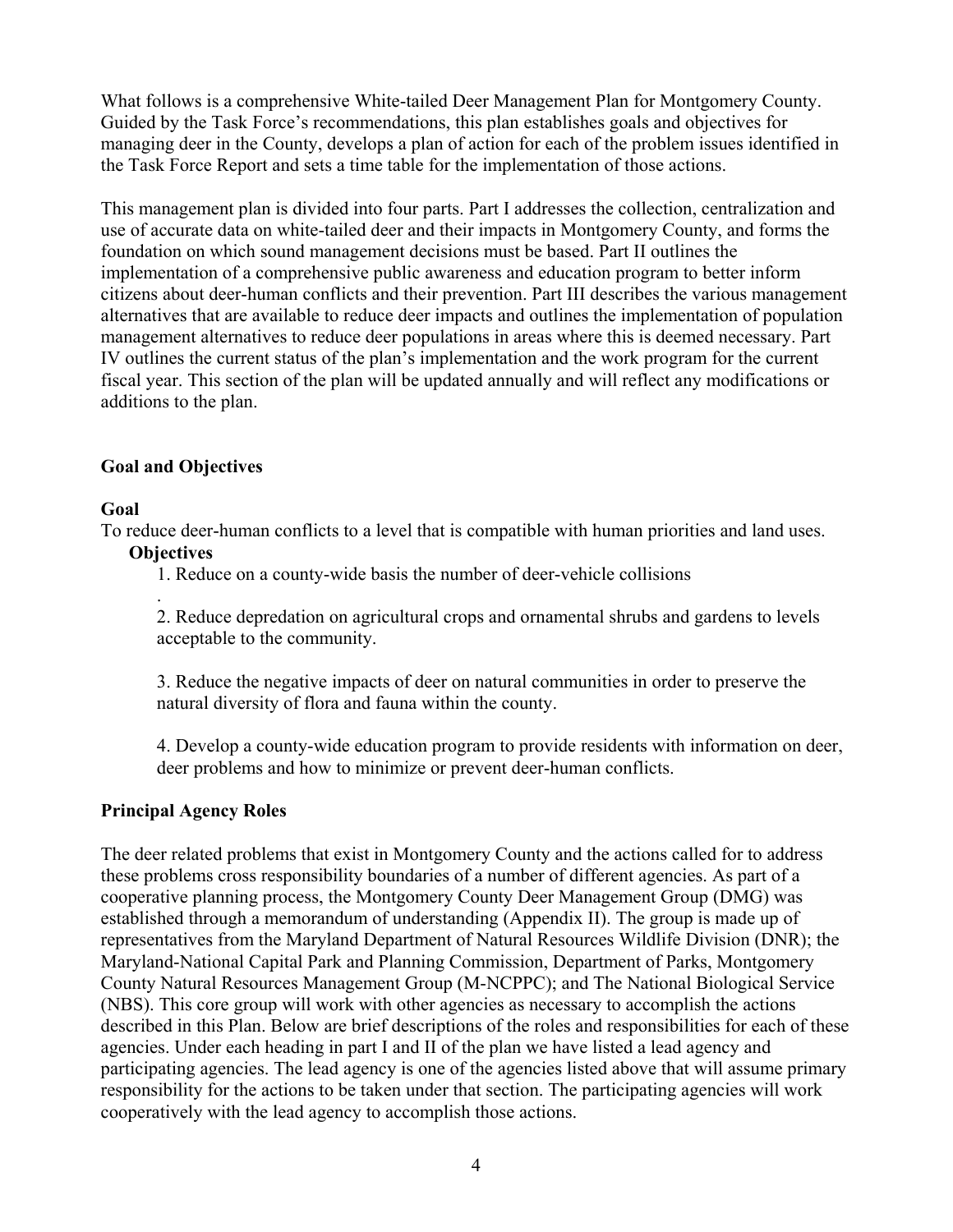What follows is a comprehensive White-tailed Deer Management Plan for Montgomery County. Guided by the Task Force's recommendations, this plan establishes goals and objectives for managing deer in the County, develops a plan of action for each of the problem issues identified in the Task Force Report and sets a time table for the implementation of those actions.

This management plan is divided into four parts. Part I addresses the collection, centralization and use of accurate data on white-tailed deer and their impacts in Montgomery County, and forms the foundation on which sound management decisions must be based. Part II outlines the implementation of a comprehensive public awareness and education program to better inform citizens about deer-human conflicts and their prevention. Part III describes the various management alternatives that are available to reduce deer impacts and outlines the implementation of population management alternatives to reduce deer populations in areas where this is deemed necessary. Part IV outlines the current status of the plan's implementation and the work program for the current fiscal year. This section of the plan will be updated annually and will reflect any modifications or additions to the plan.

# **Goal and Objectives**

#### **Goal**

To reduce deer-human conflicts to a level that is compatible with human priorities and land uses.

#### **Objectives**

.

1. Reduce on a county-wide basis the number of deer-vehicle collisions

2. Reduce depredation on agricultural crops and ornamental shrubs and gardens to levels acceptable to the community.

3. Reduce the negative impacts of deer on natural communities in order to preserve the natural diversity of flora and fauna within the county.

4. Develop a county-wide education program to provide residents with information on deer, deer problems and how to minimize or prevent deer-human conflicts.

#### **Principal Agency Roles**

The deer related problems that exist in Montgomery County and the actions called for to address these problems cross responsibility boundaries of a number of different agencies. As part of a cooperative planning process, the Montgomery County Deer Management Group (DMG) was established through a memorandum of understanding (Appendix II). The group is made up of representatives from the Maryland Department of Natural Resources Wildlife Division (DNR); the Maryland-National Capital Park and Planning Commission, Department of Parks, Montgomery County Natural Resources Management Group (M-NCPPC); and The National Biological Service (NBS). This core group will work with other agencies as necessary to accomplish the actions described in this Plan. Below are brief descriptions of the roles and responsibilities for each of these agencies. Under each heading in part I and II of the plan we have listed a lead agency and participating agencies. The lead agency is one of the agencies listed above that will assume primary responsibility for the actions to be taken under that section. The participating agencies will work cooperatively with the lead agency to accomplish those actions.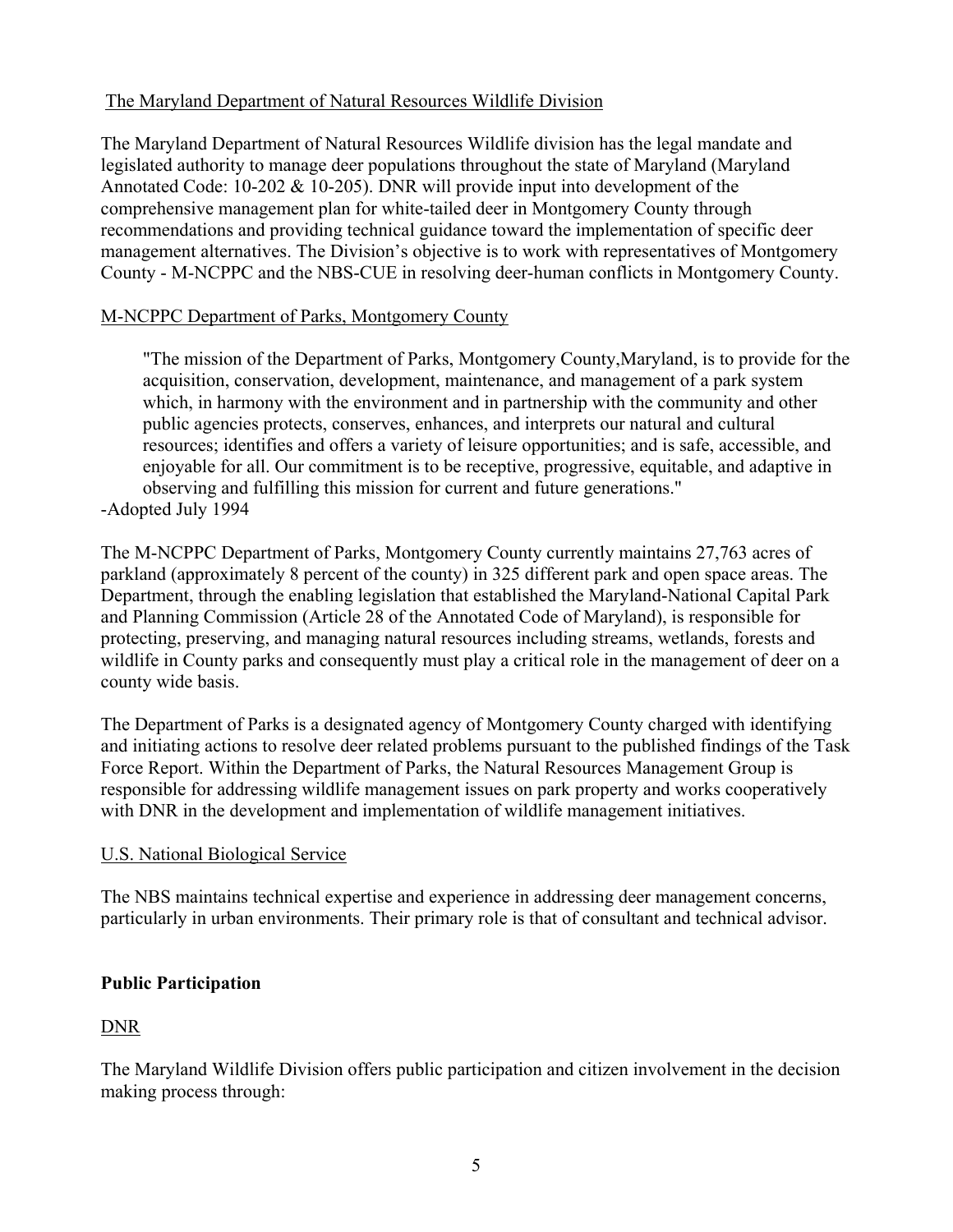# The Maryland Department of Natural Resources Wildlife Division

The Maryland Department of Natural Resources Wildlife division has the legal mandate and legislated authority to manage deer populations throughout the state of Maryland (Maryland Annotated Code: 10-202 & 10-205). DNR will provide input into development of the comprehensive management plan for white-tailed deer in Montgomery County through recommendations and providing technical guidance toward the implementation of specific deer management alternatives. The Division's objective is to work with representatives of Montgomery County - M-NCPPC and the NBS-CUE in resolving deer-human conflicts in Montgomery County.

# M-NCPPC Department of Parks, Montgomery County

"The mission of the Department of Parks, Montgomery County,Maryland, is to provide for the acquisition, conservation, development, maintenance, and management of a park system which, in harmony with the environment and in partnership with the community and other public agencies protects, conserves, enhances, and interprets our natural and cultural resources; identifies and offers a variety of leisure opportunities; and is safe, accessible, and enjoyable for all. Our commitment is to be receptive, progressive, equitable, and adaptive in observing and fulfilling this mission for current and future generations." -Adopted July 1994

The M-NCPPC Department of Parks, Montgomery County currently maintains 27,763 acres of parkland (approximately 8 percent of the county) in 325 different park and open space areas. The Department, through the enabling legislation that established the Maryland-National Capital Park and Planning Commission (Article 28 of the Annotated Code of Maryland), is responsible for protecting, preserving, and managing natural resources including streams, wetlands, forests and wildlife in County parks and consequently must play a critical role in the management of deer on a county wide basis.

The Department of Parks is a designated agency of Montgomery County charged with identifying and initiating actions to resolve deer related problems pursuant to the published findings of the Task Force Report. Within the Department of Parks, the Natural Resources Management Group is responsible for addressing wildlife management issues on park property and works cooperatively with DNR in the development and implementation of wildlife management initiatives.

# U.S. National Biological Service

The NBS maintains technical expertise and experience in addressing deer management concerns, particularly in urban environments. Their primary role is that of consultant and technical advisor.

# **Public Participation**

# DNR

The Maryland Wildlife Division offers public participation and citizen involvement in the decision making process through: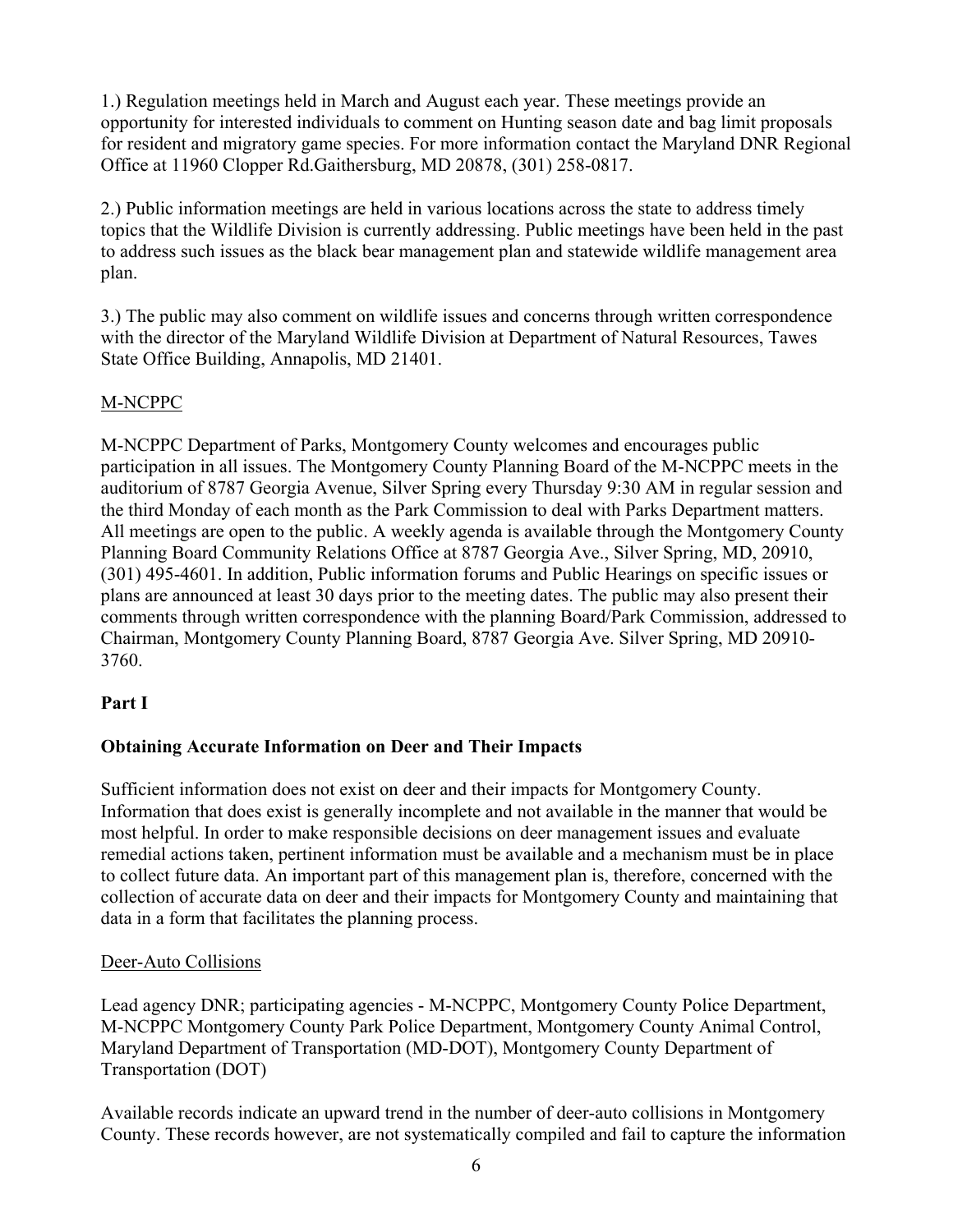1.) Regulation meetings held in March and August each year. These meetings provide an opportunity for interested individuals to comment on Hunting season date and bag limit proposals for resident and migratory game species. For more information contact the Maryland DNR Regional Office at 11960 Clopper Rd.Gaithersburg, MD 20878, (301) 258-0817.

2.) Public information meetings are held in various locations across the state to address timely topics that the Wildlife Division is currently addressing. Public meetings have been held in the past to address such issues as the black bear management plan and statewide wildlife management area plan.

3.) The public may also comment on wildlife issues and concerns through written correspondence with the director of the Maryland Wildlife Division at Department of Natural Resources, Tawes State Office Building, Annapolis, MD 21401.

# M-NCPPC

M-NCPPC Department of Parks, Montgomery County welcomes and encourages public participation in all issues. The Montgomery County Planning Board of the M-NCPPC meets in the auditorium of 8787 Georgia Avenue, Silver Spring every Thursday 9:30 AM in regular session and the third Monday of each month as the Park Commission to deal with Parks Department matters. All meetings are open to the public. A weekly agenda is available through the Montgomery County Planning Board Community Relations Office at 8787 Georgia Ave., Silver Spring, MD, 20910, (301) 495-4601. In addition, Public information forums and Public Hearings on specific issues or plans are announced at least 30 days prior to the meeting dates. The public may also present their comments through written correspondence with the planning Board/Park Commission, addressed to Chairman, Montgomery County Planning Board, 8787 Georgia Ave. Silver Spring, MD 20910- 3760.

# **Part I**

# **Obtaining Accurate Information on Deer and Their Impacts**

Sufficient information does not exist on deer and their impacts for Montgomery County. Information that does exist is generally incomplete and not available in the manner that would be most helpful. In order to make responsible decisions on deer management issues and evaluate remedial actions taken, pertinent information must be available and a mechanism must be in place to collect future data. An important part of this management plan is, therefore, concerned with the collection of accurate data on deer and their impacts for Montgomery County and maintaining that data in a form that facilitates the planning process.

# Deer-Auto Collisions

Lead agency DNR; participating agencies - M-NCPPC, Montgomery County Police Department, M-NCPPC Montgomery County Park Police Department, Montgomery County Animal Control, Maryland Department of Transportation (MD-DOT), Montgomery County Department of Transportation (DOT)

Available records indicate an upward trend in the number of deer-auto collisions in Montgomery County. These records however, are not systematically compiled and fail to capture the information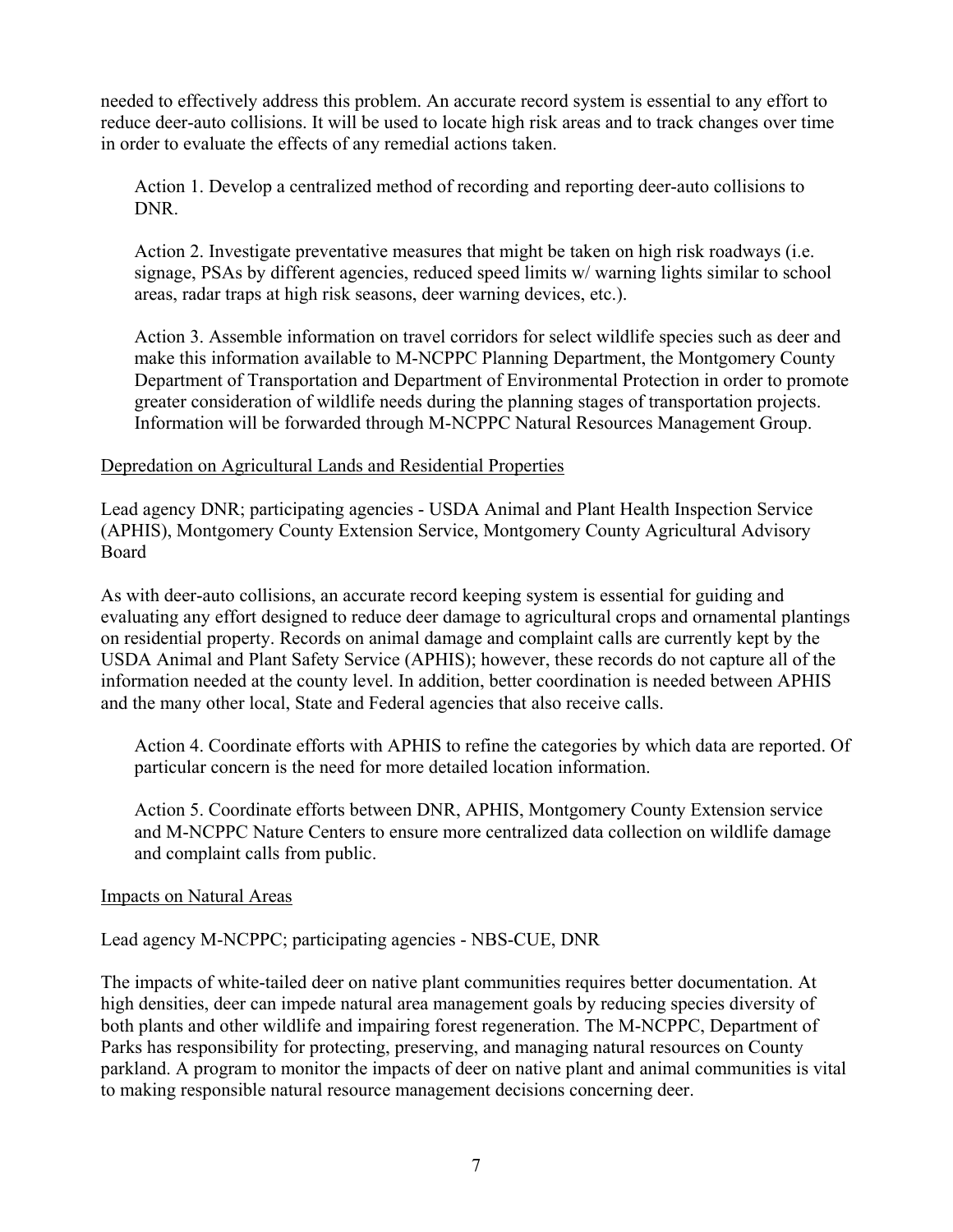needed to effectively address this problem. An accurate record system is essential to any effort to reduce deer-auto collisions. It will be used to locate high risk areas and to track changes over time in order to evaluate the effects of any remedial actions taken.

Action 1. Develop a centralized method of recording and reporting deer-auto collisions to DNR.

Action 2. Investigate preventative measures that might be taken on high risk roadways (i.e. signage, PSAs by different agencies, reduced speed limits w/ warning lights similar to school areas, radar traps at high risk seasons, deer warning devices, etc.).

Action 3. Assemble information on travel corridors for select wildlife species such as deer and make this information available to M-NCPPC Planning Department, the Montgomery County Department of Transportation and Department of Environmental Protection in order to promote greater consideration of wildlife needs during the planning stages of transportation projects. Information will be forwarded through M-NCPPC Natural Resources Management Group.

#### Depredation on Agricultural Lands and Residential Properties

Lead agency DNR; participating agencies - USDA Animal and Plant Health Inspection Service (APHIS), Montgomery County Extension Service, Montgomery County Agricultural Advisory Board

As with deer-auto collisions, an accurate record keeping system is essential for guiding and evaluating any effort designed to reduce deer damage to agricultural crops and ornamental plantings on residential property. Records on animal damage and complaint calls are currently kept by the USDA Animal and Plant Safety Service (APHIS); however, these records do not capture all of the information needed at the county level. In addition, better coordination is needed between APHIS and the many other local, State and Federal agencies that also receive calls.

Action 4. Coordinate efforts with APHIS to refine the categories by which data are reported. Of particular concern is the need for more detailed location information.

Action 5. Coordinate efforts between DNR, APHIS, Montgomery County Extension service and M-NCPPC Nature Centers to ensure more centralized data collection on wildlife damage and complaint calls from public.

#### Impacts on Natural Areas

Lead agency M-NCPPC; participating agencies - NBS-CUE, DNR

The impacts of white-tailed deer on native plant communities requires better documentation. At high densities, deer can impede natural area management goals by reducing species diversity of both plants and other wildlife and impairing forest regeneration. The M-NCPPC, Department of Parks has responsibility for protecting, preserving, and managing natural resources on County parkland. A program to monitor the impacts of deer on native plant and animal communities is vital to making responsible natural resource management decisions concerning deer.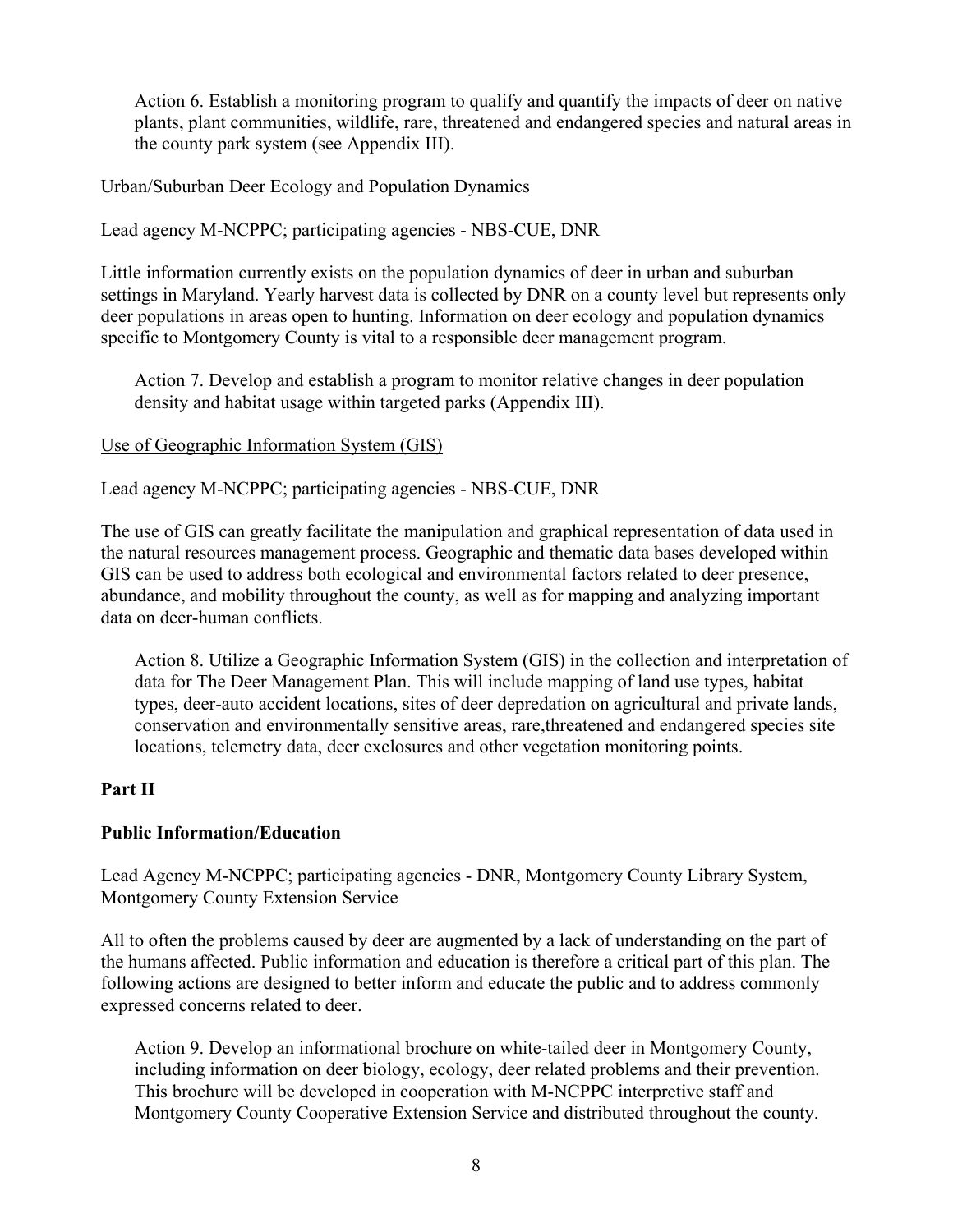Action 6. Establish a monitoring program to qualify and quantify the impacts of deer on native plants, plant communities, wildlife, rare, threatened and endangered species and natural areas in the county park system (see Appendix III).

#### Urban/Suburban Deer Ecology and Population Dynamics

Lead agency M-NCPPC; participating agencies - NBS-CUE, DNR

Little information currently exists on the population dynamics of deer in urban and suburban settings in Maryland. Yearly harvest data is collected by DNR on a county level but represents only deer populations in areas open to hunting. Information on deer ecology and population dynamics specific to Montgomery County is vital to a responsible deer management program.

Action 7. Develop and establish a program to monitor relative changes in deer population density and habitat usage within targeted parks (Appendix III).

#### Use of Geographic Information System (GIS)

Lead agency M-NCPPC; participating agencies - NBS-CUE, DNR

The use of GIS can greatly facilitate the manipulation and graphical representation of data used in the natural resources management process. Geographic and thematic data bases developed within GIS can be used to address both ecological and environmental factors related to deer presence, abundance, and mobility throughout the county, as well as for mapping and analyzing important data on deer-human conflicts.

Action 8. Utilize a Geographic Information System (GIS) in the collection and interpretation of data for The Deer Management Plan. This will include mapping of land use types, habitat types, deer-auto accident locations, sites of deer depredation on agricultural and private lands, conservation and environmentally sensitive areas, rare,threatened and endangered species site locations, telemetry data, deer exclosures and other vegetation monitoring points.

#### **Part II**

#### **Public Information/Education**

Lead Agency M-NCPPC; participating agencies - DNR, Montgomery County Library System, Montgomery County Extension Service

All to often the problems caused by deer are augmented by a lack of understanding on the part of the humans affected. Public information and education is therefore a critical part of this plan. The following actions are designed to better inform and educate the public and to address commonly expressed concerns related to deer.

Action 9. Develop an informational brochure on white-tailed deer in Montgomery County, including information on deer biology, ecology, deer related problems and their prevention. This brochure will be developed in cooperation with M-NCPPC interpretive staff and Montgomery County Cooperative Extension Service and distributed throughout the county.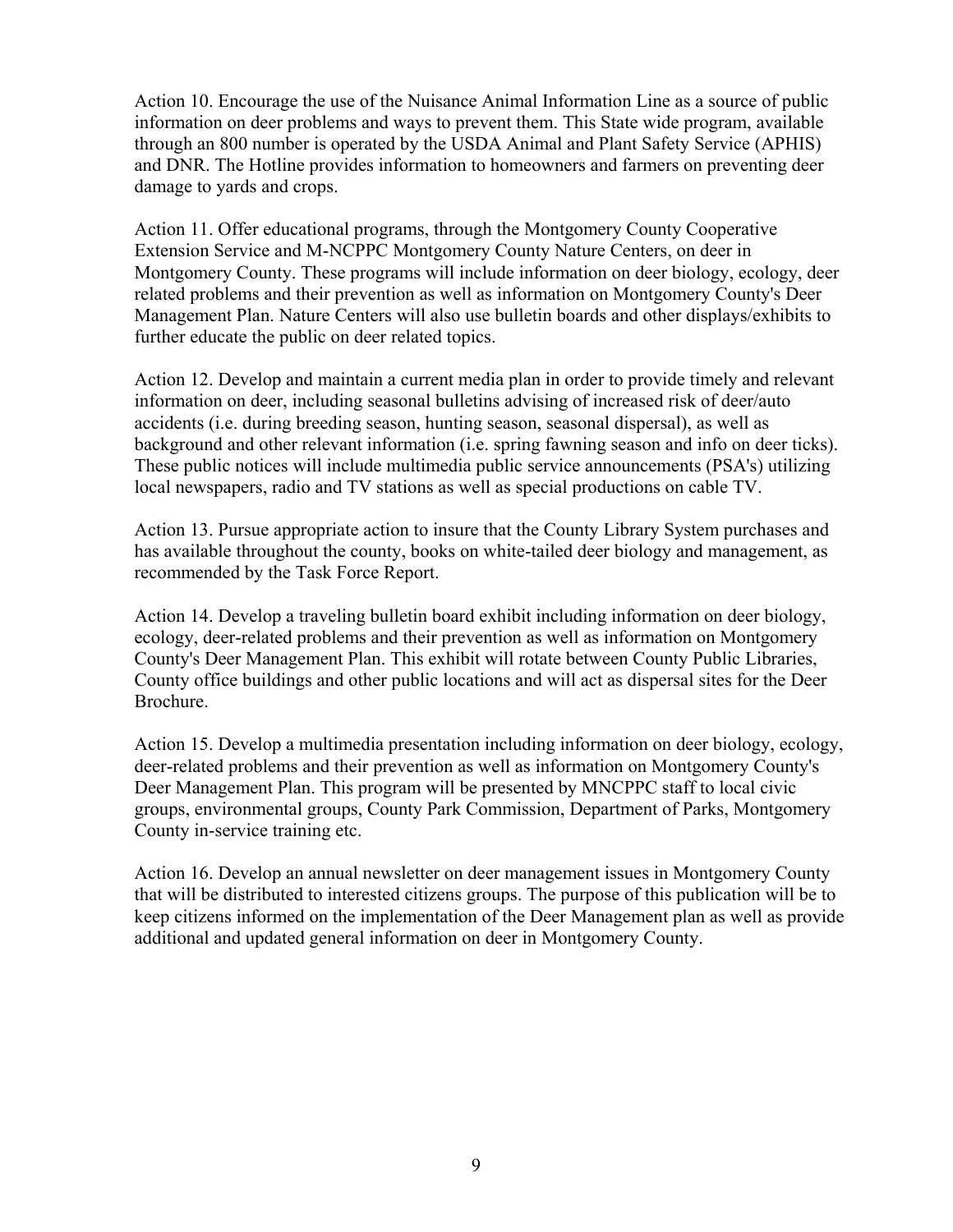Action 10. Encourage the use of the Nuisance Animal Information Line as a source of public information on deer problems and ways to prevent them. This State wide program, available through an 800 number is operated by the USDA Animal and Plant Safety Service (APHIS) and DNR. The Hotline provides information to homeowners and farmers on preventing deer damage to yards and crops.

Action 11. Offer educational programs, through the Montgomery County Cooperative Extension Service and M-NCPPC Montgomery County Nature Centers, on deer in Montgomery County. These programs will include information on deer biology, ecology, deer related problems and their prevention as well as information on Montgomery County's Deer Management Plan. Nature Centers will also use bulletin boards and other displays/exhibits to further educate the public on deer related topics.

Action 12. Develop and maintain a current media plan in order to provide timely and relevant information on deer, including seasonal bulletins advising of increased risk of deer/auto accidents (i.e. during breeding season, hunting season, seasonal dispersal), as well as background and other relevant information (i.e. spring fawning season and info on deer ticks). These public notices will include multimedia public service announcements (PSA's) utilizing local newspapers, radio and TV stations as well as special productions on cable TV.

Action 13. Pursue appropriate action to insure that the County Library System purchases and has available throughout the county, books on white-tailed deer biology and management, as recommended by the Task Force Report.

Action 14. Develop a traveling bulletin board exhibit including information on deer biology, ecology, deer-related problems and their prevention as well as information on Montgomery County's Deer Management Plan. This exhibit will rotate between County Public Libraries, County office buildings and other public locations and will act as dispersal sites for the Deer Brochure.

Action 15. Develop a multimedia presentation including information on deer biology, ecology, deer-related problems and their prevention as well as information on Montgomery County's Deer Management Plan. This program will be presented by MNCPPC staff to local civic groups, environmental groups, County Park Commission, Department of Parks, Montgomery County in-service training etc.

Action 16. Develop an annual newsletter on deer management issues in Montgomery County that will be distributed to interested citizens groups. The purpose of this publication will be to keep citizens informed on the implementation of the Deer Management plan as well as provide additional and updated general information on deer in Montgomery County.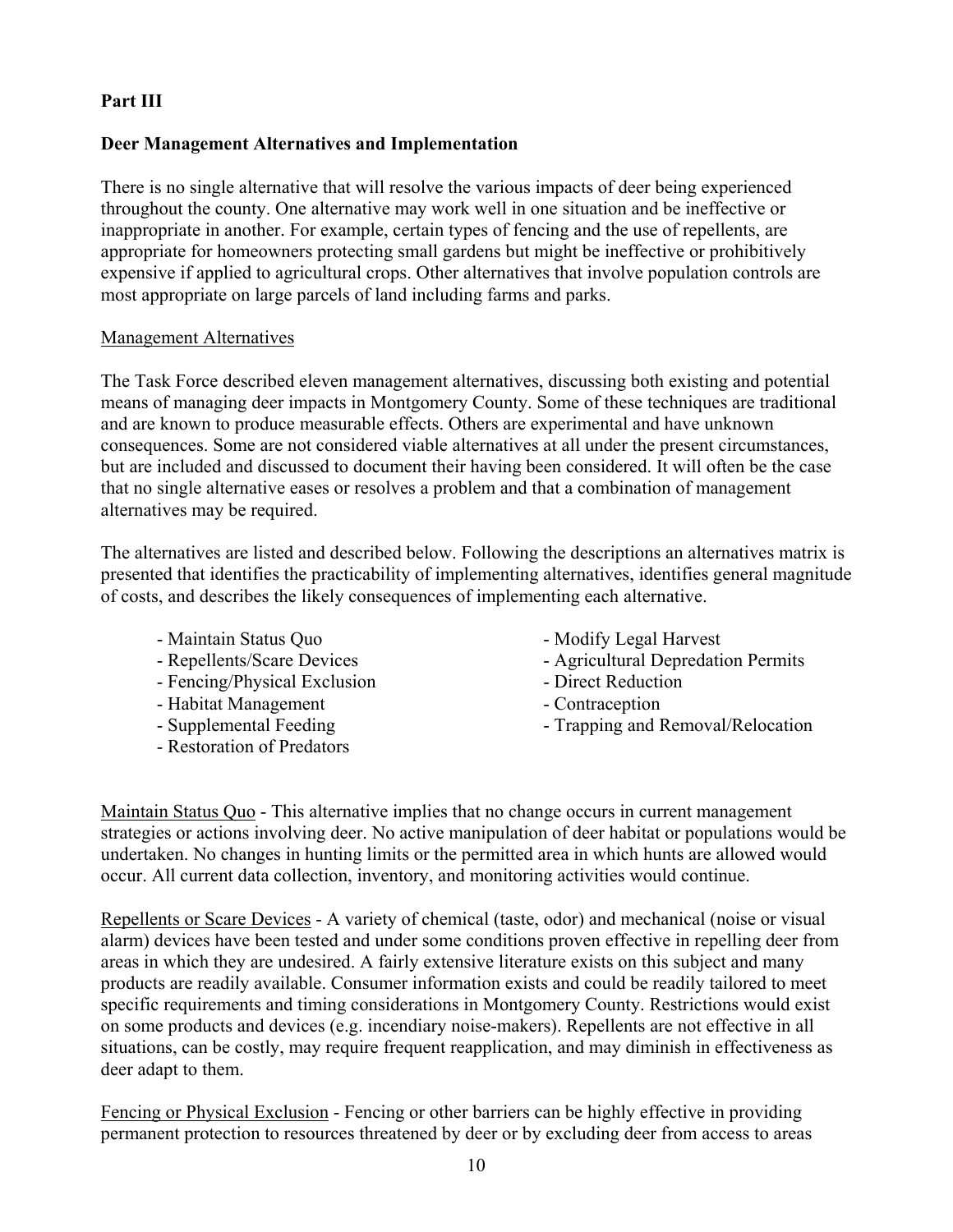# **Part III**

# **Deer Management Alternatives and Implementation**

There is no single alternative that will resolve the various impacts of deer being experienced throughout the county. One alternative may work well in one situation and be ineffective or inappropriate in another. For example, certain types of fencing and the use of repellents, are appropriate for homeowners protecting small gardens but might be ineffective or prohibitively expensive if applied to agricultural crops. Other alternatives that involve population controls are most appropriate on large parcels of land including farms and parks.

#### Management Alternatives

The Task Force described eleven management alternatives, discussing both existing and potential means of managing deer impacts in Montgomery County. Some of these techniques are traditional and are known to produce measurable effects. Others are experimental and have unknown consequences. Some are not considered viable alternatives at all under the present circumstances, but are included and discussed to document their having been considered. It will often be the case that no single alternative eases or resolves a problem and that a combination of management alternatives may be required.

The alternatives are listed and described below. Following the descriptions an alternatives matrix is presented that identifies the practicability of implementing alternatives, identifies general magnitude of costs, and describes the likely consequences of implementing each alternative.

- Maintain Status Quo
- Repellents/Scare Devices
- Fencing/Physical Exclusion
- Habitat Management
- Supplemental Feeding
- Restoration of Predators
- Modify Legal Harvest
- Agricultural Depredation Permits
- Direct Reduction
- Contraception
- Trapping and Removal/Relocation

Maintain Status Quo - This alternative implies that no change occurs in current management strategies or actions involving deer. No active manipulation of deer habitat or populations would be undertaken. No changes in hunting limits or the permitted area in which hunts are allowed would occur. All current data collection, inventory, and monitoring activities would continue.

Repellents or Scare Devices - A variety of chemical (taste, odor) and mechanical (noise or visual alarm) devices have been tested and under some conditions proven effective in repelling deer from areas in which they are undesired. A fairly extensive literature exists on this subject and many products are readily available. Consumer information exists and could be readily tailored to meet specific requirements and timing considerations in Montgomery County. Restrictions would exist on some products and devices (e.g. incendiary noise-makers). Repellents are not effective in all situations, can be costly, may require frequent reapplication, and may diminish in effectiveness as deer adapt to them.

Fencing or Physical Exclusion - Fencing or other barriers can be highly effective in providing permanent protection to resources threatened by deer or by excluding deer from access to areas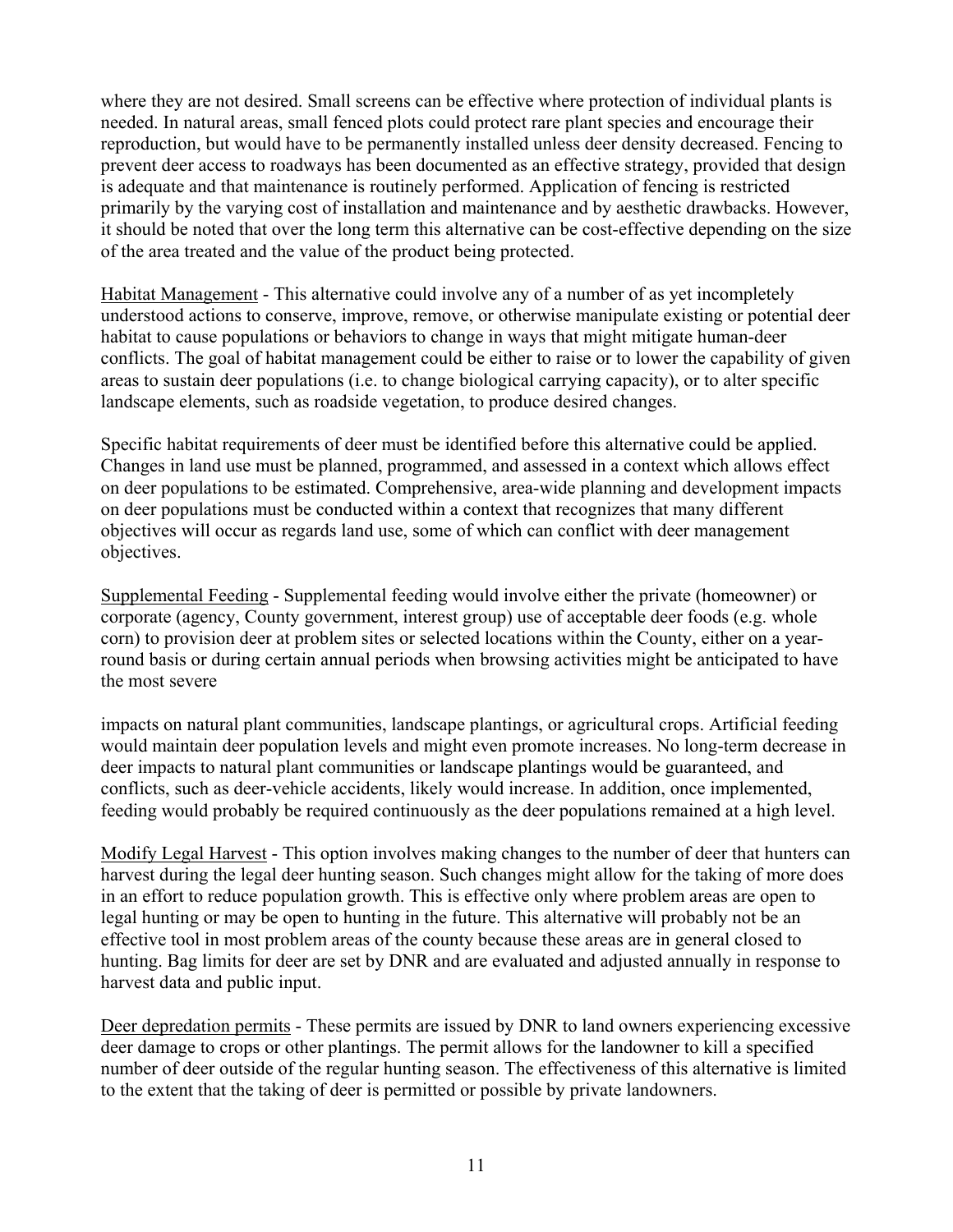where they are not desired. Small screens can be effective where protection of individual plants is needed. In natural areas, small fenced plots could protect rare plant species and encourage their reproduction, but would have to be permanently installed unless deer density decreased. Fencing to prevent deer access to roadways has been documented as an effective strategy, provided that design is adequate and that maintenance is routinely performed. Application of fencing is restricted primarily by the varying cost of installation and maintenance and by aesthetic drawbacks. However, it should be noted that over the long term this alternative can be cost-effective depending on the size of the area treated and the value of the product being protected.

Habitat Management - This alternative could involve any of a number of as yet incompletely understood actions to conserve, improve, remove, or otherwise manipulate existing or potential deer habitat to cause populations or behaviors to change in ways that might mitigate human-deer conflicts. The goal of habitat management could be either to raise or to lower the capability of given areas to sustain deer populations (i.e. to change biological carrying capacity), or to alter specific landscape elements, such as roadside vegetation, to produce desired changes.

Specific habitat requirements of deer must be identified before this alternative could be applied. Changes in land use must be planned, programmed, and assessed in a context which allows effect on deer populations to be estimated. Comprehensive, area-wide planning and development impacts on deer populations must be conducted within a context that recognizes that many different objectives will occur as regards land use, some of which can conflict with deer management objectives.

Supplemental Feeding - Supplemental feeding would involve either the private (homeowner) or corporate (agency, County government, interest group) use of acceptable deer foods (e.g. whole corn) to provision deer at problem sites or selected locations within the County, either on a yearround basis or during certain annual periods when browsing activities might be anticipated to have the most severe

impacts on natural plant communities, landscape plantings, or agricultural crops. Artificial feeding would maintain deer population levels and might even promote increases. No long-term decrease in deer impacts to natural plant communities or landscape plantings would be guaranteed, and conflicts, such as deer-vehicle accidents, likely would increase. In addition, once implemented, feeding would probably be required continuously as the deer populations remained at a high level.

Modify Legal Harvest - This option involves making changes to the number of deer that hunters can harvest during the legal deer hunting season. Such changes might allow for the taking of more does in an effort to reduce population growth. This is effective only where problem areas are open to legal hunting or may be open to hunting in the future. This alternative will probably not be an effective tool in most problem areas of the county because these areas are in general closed to hunting. Bag limits for deer are set by DNR and are evaluated and adjusted annually in response to harvest data and public input.

Deer depredation permits - These permits are issued by DNR to land owners experiencing excessive deer damage to crops or other plantings. The permit allows for the landowner to kill a specified number of deer outside of the regular hunting season. The effectiveness of this alternative is limited to the extent that the taking of deer is permitted or possible by private landowners.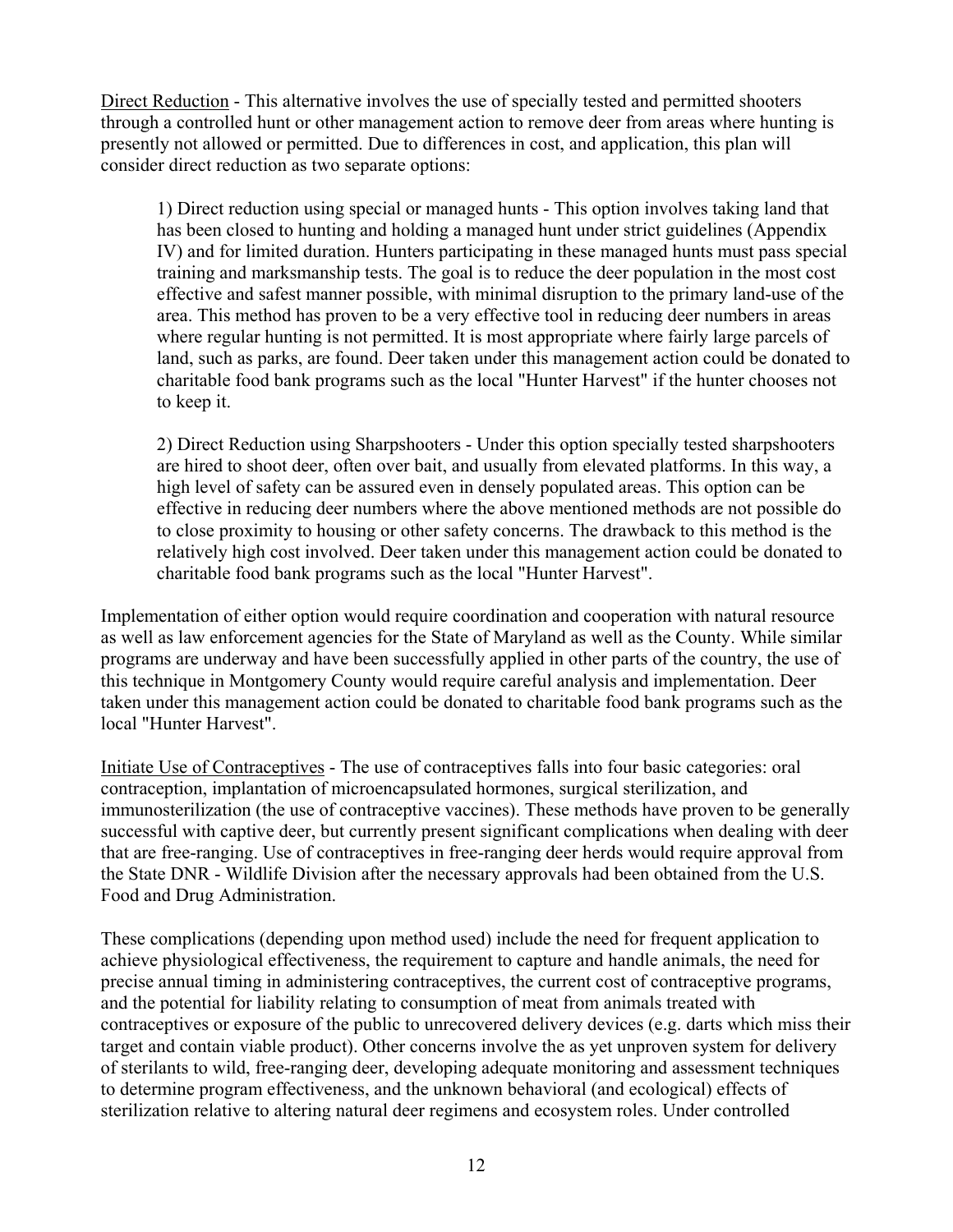Direct Reduction - This alternative involves the use of specially tested and permitted shooters through a controlled hunt or other management action to remove deer from areas where hunting is presently not allowed or permitted. Due to differences in cost, and application, this plan will consider direct reduction as two separate options:

1) Direct reduction using special or managed hunts - This option involves taking land that has been closed to hunting and holding a managed hunt under strict guidelines (Appendix IV) and for limited duration. Hunters participating in these managed hunts must pass special training and marksmanship tests. The goal is to reduce the deer population in the most cost effective and safest manner possible, with minimal disruption to the primary land-use of the area. This method has proven to be a very effective tool in reducing deer numbers in areas where regular hunting is not permitted. It is most appropriate where fairly large parcels of land, such as parks, are found. Deer taken under this management action could be donated to charitable food bank programs such as the local "Hunter Harvest" if the hunter chooses not to keep it.

2) Direct Reduction using Sharpshooters - Under this option specially tested sharpshooters are hired to shoot deer, often over bait, and usually from elevated platforms. In this way, a high level of safety can be assured even in densely populated areas. This option can be effective in reducing deer numbers where the above mentioned methods are not possible do to close proximity to housing or other safety concerns. The drawback to this method is the relatively high cost involved. Deer taken under this management action could be donated to charitable food bank programs such as the local "Hunter Harvest".

Implementation of either option would require coordination and cooperation with natural resource as well as law enforcement agencies for the State of Maryland as well as the County. While similar programs are underway and have been successfully applied in other parts of the country, the use of this technique in Montgomery County would require careful analysis and implementation. Deer taken under this management action could be donated to charitable food bank programs such as the local "Hunter Harvest".

Initiate Use of Contraceptives - The use of contraceptives falls into four basic categories: oral contraception, implantation of microencapsulated hormones, surgical sterilization, and immunosterilization (the use of contraceptive vaccines). These methods have proven to be generally successful with captive deer, but currently present significant complications when dealing with deer that are free-ranging. Use of contraceptives in free-ranging deer herds would require approval from the State DNR - Wildlife Division after the necessary approvals had been obtained from the U.S. Food and Drug Administration.

These complications (depending upon method used) include the need for frequent application to achieve physiological effectiveness, the requirement to capture and handle animals, the need for precise annual timing in administering contraceptives, the current cost of contraceptive programs, and the potential for liability relating to consumption of meat from animals treated with contraceptives or exposure of the public to unrecovered delivery devices (e.g. darts which miss their target and contain viable product). Other concerns involve the as yet unproven system for delivery of sterilants to wild, free-ranging deer, developing adequate monitoring and assessment techniques to determine program effectiveness, and the unknown behavioral (and ecological) effects of sterilization relative to altering natural deer regimens and ecosystem roles. Under controlled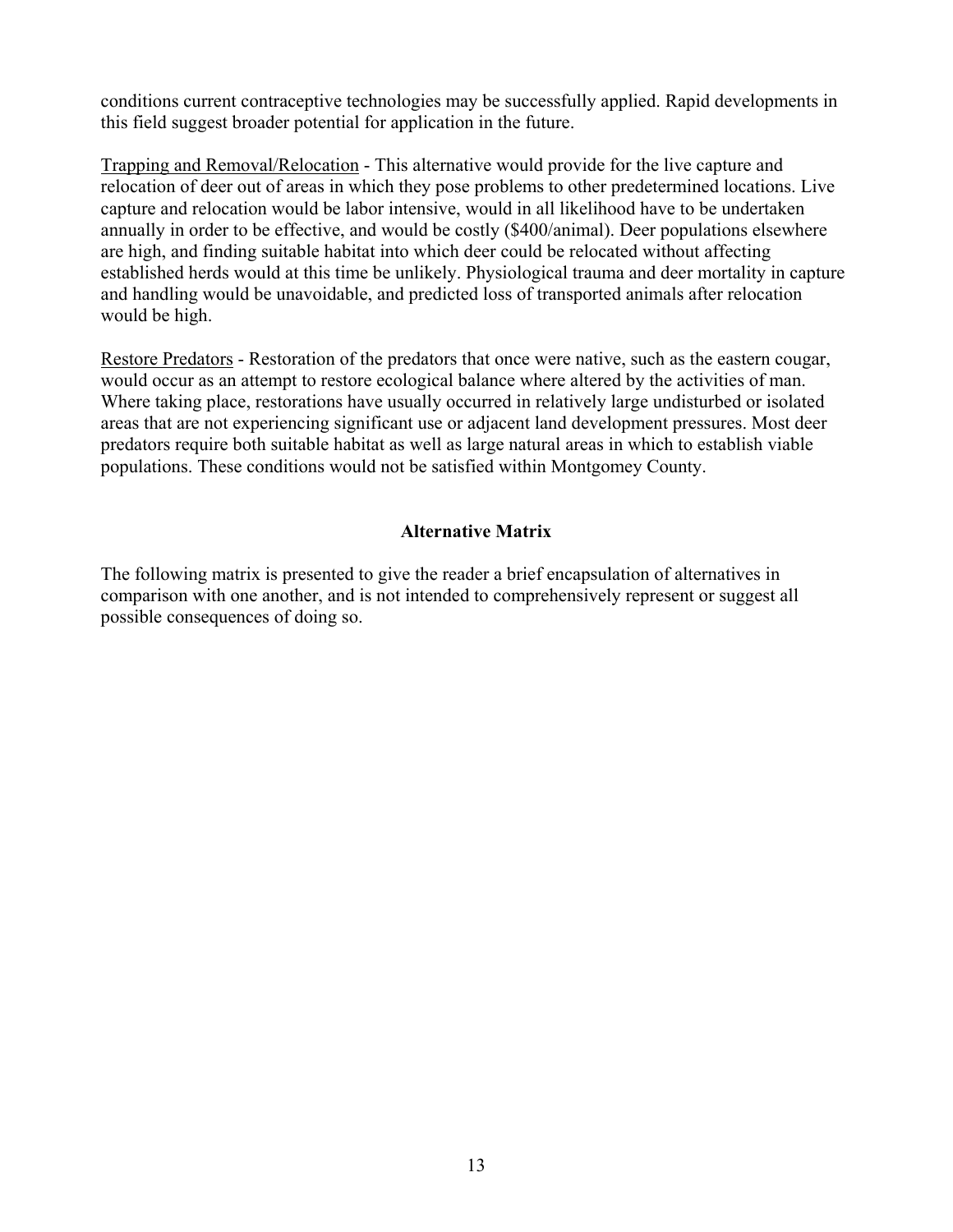conditions current contraceptive technologies may be successfully applied. Rapid developments in this field suggest broader potential for application in the future.

Trapping and Removal/Relocation - This alternative would provide for the live capture and relocation of deer out of areas in which they pose problems to other predetermined locations. Live capture and relocation would be labor intensive, would in all likelihood have to be undertaken annually in order to be effective, and would be costly (\$400/animal). Deer populations elsewhere are high, and finding suitable habitat into which deer could be relocated without affecting established herds would at this time be unlikely. Physiological trauma and deer mortality in capture and handling would be unavoidable, and predicted loss of transported animals after relocation would be high.

Restore Predators - Restoration of the predators that once were native, such as the eastern cougar, would occur as an attempt to restore ecological balance where altered by the activities of man. Where taking place, restorations have usually occurred in relatively large undisturbed or isolated areas that are not experiencing significant use or adjacent land development pressures. Most deer predators require both suitable habitat as well as large natural areas in which to establish viable populations. These conditions would not be satisfied within Montgomey County.

# **Alternative Matrix**

The following matrix is presented to give the reader a brief encapsulation of alternatives in comparison with one another, and is not intended to comprehensively represent or suggest all possible consequences of doing so.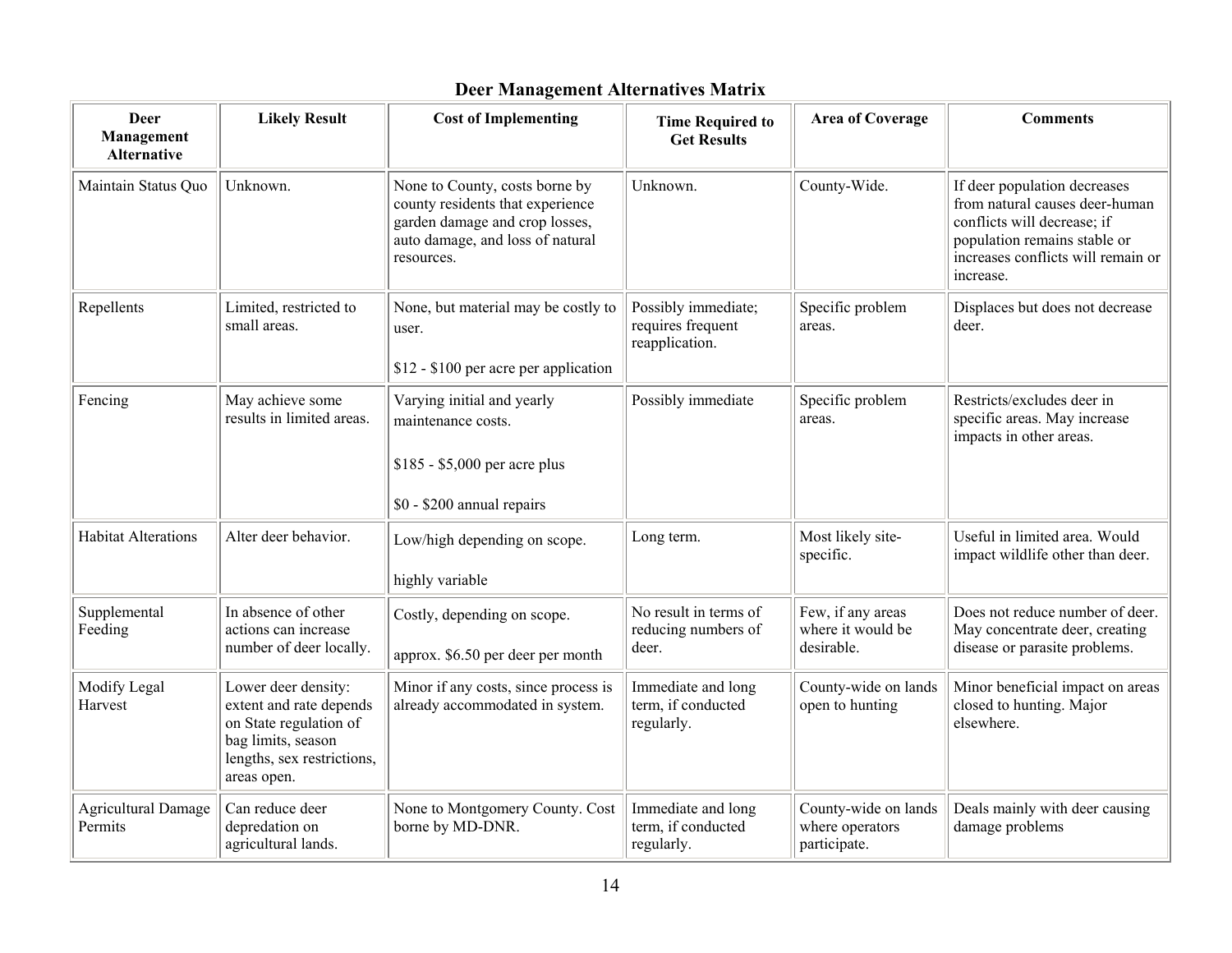| <b>Deer</b><br>Management<br>Alternative | <b>Likely Result</b>                                                                                                                        | <b>Cost of Implementing</b>                                                                                                                            | <b>Time Required to</b><br><b>Get Results</b>              | <b>Area of Coverage</b>                                 | <b>Comments</b>                                                                                                                                                                  |
|------------------------------------------|---------------------------------------------------------------------------------------------------------------------------------------------|--------------------------------------------------------------------------------------------------------------------------------------------------------|------------------------------------------------------------|---------------------------------------------------------|----------------------------------------------------------------------------------------------------------------------------------------------------------------------------------|
| Maintain Status Quo                      | Unknown.                                                                                                                                    | None to County, costs borne by<br>county residents that experience<br>garden damage and crop losses,<br>auto damage, and loss of natural<br>resources. | Unknown.                                                   | County-Wide.                                            | If deer population decreases<br>from natural causes deer-human<br>conflicts will decrease; if<br>population remains stable or<br>increases conflicts will remain or<br>increase. |
| Repellents                               | Limited, restricted to<br>small areas.                                                                                                      | None, but material may be costly to<br>user.<br>\$12 - \$100 per acre per application                                                                  | Possibly immediate;<br>requires frequent<br>reapplication. | Specific problem<br>areas.                              | Displaces but does not decrease<br>deer.                                                                                                                                         |
| Fencing                                  | May achieve some<br>results in limited areas.                                                                                               | Varying initial and yearly<br>maintenance costs.<br>\$185 - \$5,000 per acre plus<br>\$0 - \$200 annual repairs                                        | Possibly immediate                                         | Specific problem<br>areas.                              | Restricts/excludes deer in<br>specific areas. May increase<br>impacts in other areas.                                                                                            |
| <b>Habitat Alterations</b>               | Alter deer behavior.                                                                                                                        | Low/high depending on scope.<br>highly variable                                                                                                        | Long term.                                                 | Most likely site-<br>specific.                          | Useful in limited area. Would<br>impact wildlife other than deer.                                                                                                                |
| Supplemental<br>Feeding                  | In absence of other<br>actions can increase<br>number of deer locally.                                                                      | Costly, depending on scope.<br>approx. \$6.50 per deer per month                                                                                       | No result in terms of<br>reducing numbers of<br>deer.      | Few, if any areas<br>where it would be<br>desirable.    | Does not reduce number of deer.<br>May concentrate deer, creating<br>disease or parasite problems.                                                                               |
| Modify Legal<br>Harvest                  | Lower deer density:<br>extent and rate depends<br>on State regulation of<br>bag limits, season<br>lengths, sex restrictions,<br>areas open. | Minor if any costs, since process is<br>already accommodated in system.                                                                                | Immediate and long<br>term, if conducted<br>regularly.     | County-wide on lands<br>open to hunting                 | Minor beneficial impact on areas<br>closed to hunting. Major<br>elsewhere.                                                                                                       |
| <b>Agricultural Damage</b><br>Permits    | Can reduce deer<br>depredation on<br>agricultural lands.                                                                                    | None to Montgomery County. Cost<br>borne by MD-DNR.                                                                                                    | Immediate and long<br>term, if conducted<br>regularly.     | County-wide on lands<br>where operators<br>participate. | Deals mainly with deer causing<br>damage problems                                                                                                                                |

# **Deer Management Alternatives Matrix**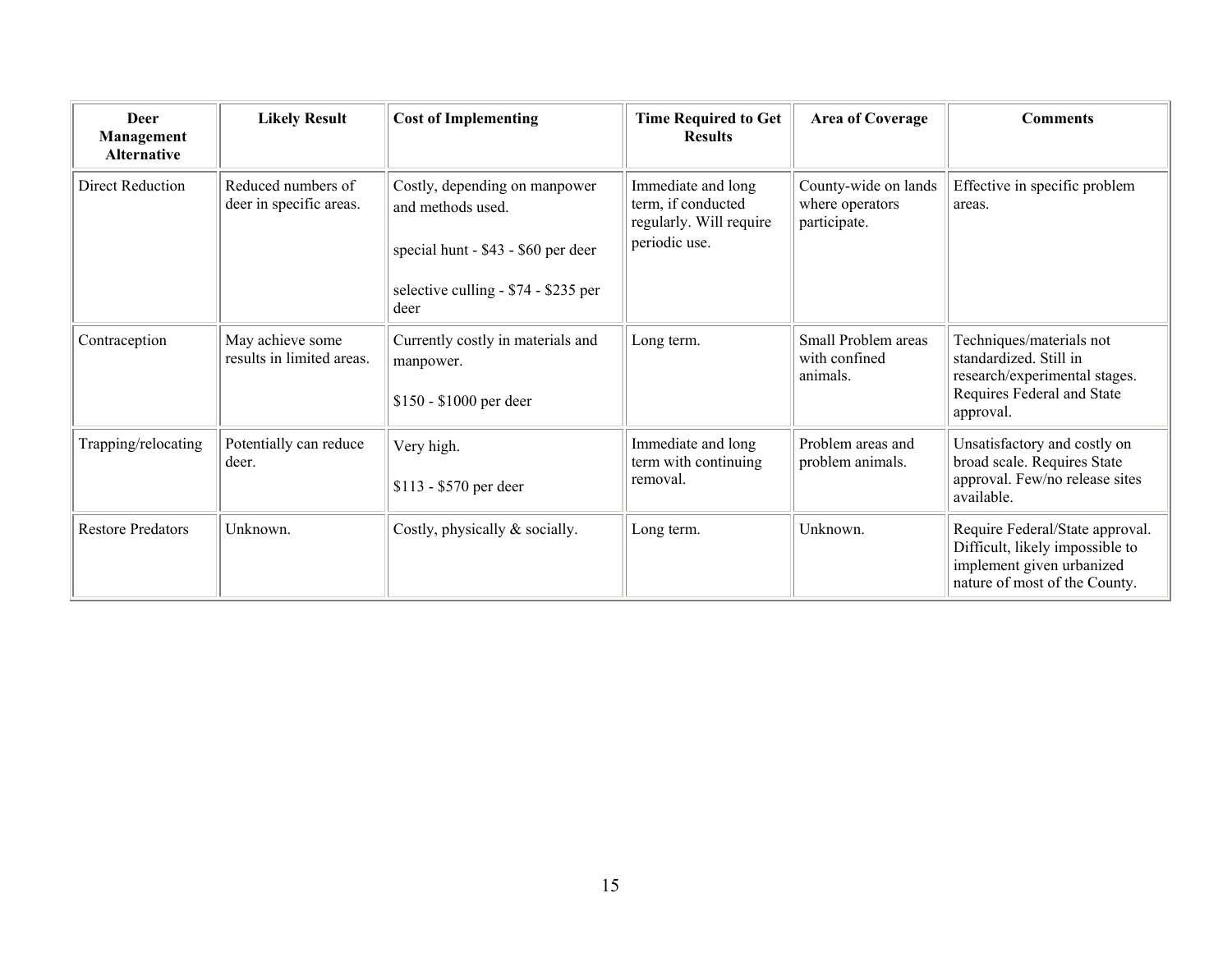| Deer<br>Management<br><b>Alternative</b> | <b>Likely Result</b>                          | <b>Cost of Implementing</b>                                                                                                               | <b>Time Required to Get</b><br><b>Results</b>                                        | <b>Area of Coverage</b>                                 | <b>Comments</b>                                                                                                                  |
|------------------------------------------|-----------------------------------------------|-------------------------------------------------------------------------------------------------------------------------------------------|--------------------------------------------------------------------------------------|---------------------------------------------------------|----------------------------------------------------------------------------------------------------------------------------------|
| Direct Reduction                         | Reduced numbers of<br>deer in specific areas. | Costly, depending on manpower<br>and methods used.<br>special hunt - \$43 - \$60 per deer<br>selective culling - \$74 - \$235 per<br>deer | Immediate and long<br>term, if conducted<br>regularly. Will require<br>periodic use. | County-wide on lands<br>where operators<br>participate. | Effective in specific problem<br>areas.                                                                                          |
| Contraception                            | May achieve some<br>results in limited areas. | Currently costly in materials and<br>manpower.<br>\$150 - \$1000 per deer                                                                 | Long term.                                                                           | Small Problem areas<br>with confined<br>animals.        | Techniques/materials not<br>standardized. Still in<br>research/experimental stages.<br>Requires Federal and State<br>approval.   |
| Trapping/relocating                      | Potentially can reduce<br>deer.               | Very high.<br>\$113 - \$570 per deer                                                                                                      | Immediate and long<br>term with continuing<br>removal.                               | Problem areas and<br>problem animals.                   | Unsatisfactory and costly on<br>broad scale. Requires State<br>approval. Few/no release sites<br>available.                      |
| <b>Restore Predators</b>                 | Unknown.                                      | Costly, physically & socially.                                                                                                            | Long term.                                                                           | Unknown.                                                | Require Federal/State approval.<br>Difficult, likely impossible to<br>implement given urbanized<br>nature of most of the County. |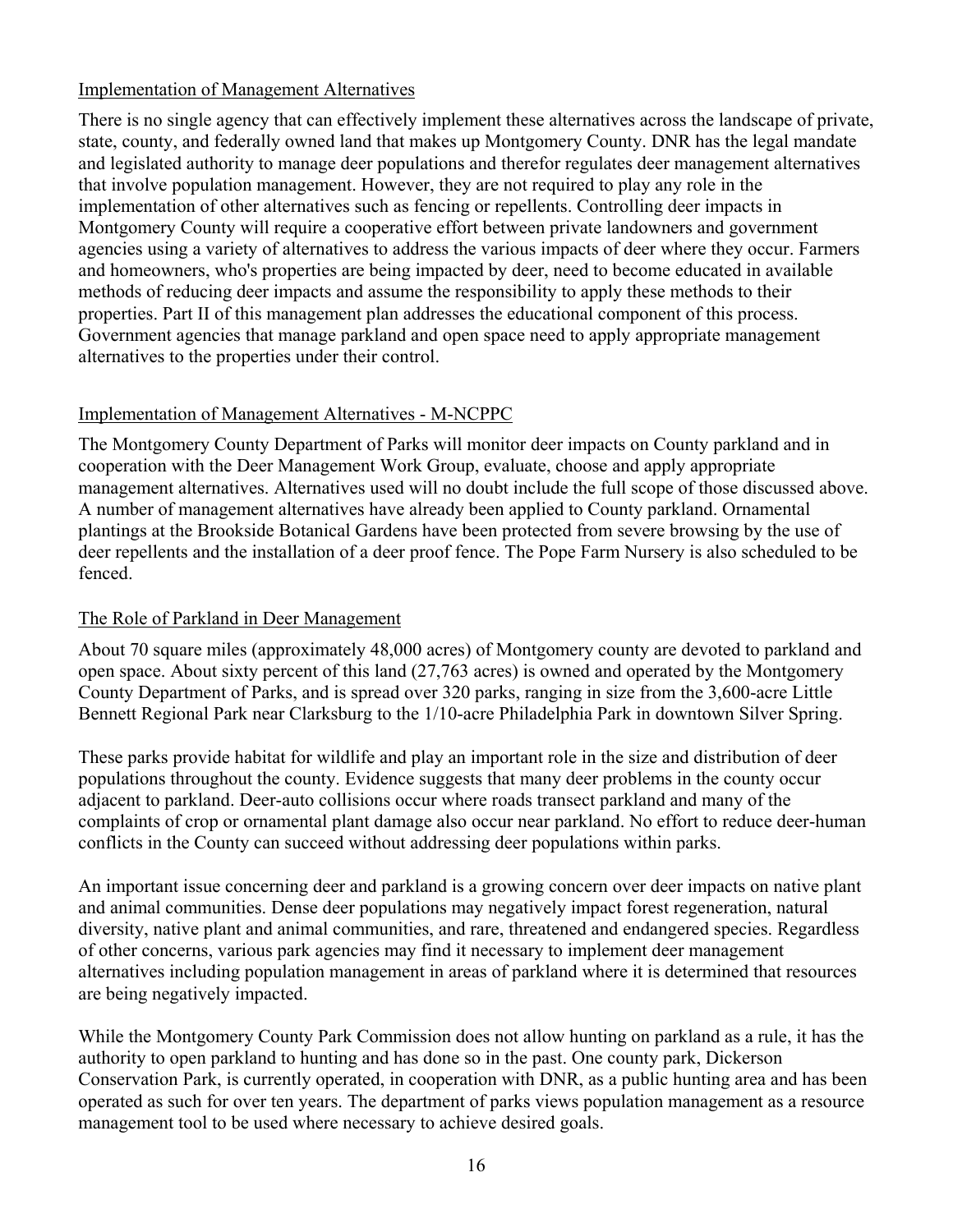#### Implementation of Management Alternatives

There is no single agency that can effectively implement these alternatives across the landscape of private, state, county, and federally owned land that makes up Montgomery County. DNR has the legal mandate and legislated authority to manage deer populations and therefor regulates deer management alternatives that involve population management. However, they are not required to play any role in the implementation of other alternatives such as fencing or repellents. Controlling deer impacts in Montgomery County will require a cooperative effort between private landowners and government agencies using a variety of alternatives to address the various impacts of deer where they occur. Farmers and homeowners, who's properties are being impacted by deer, need to become educated in available methods of reducing deer impacts and assume the responsibility to apply these methods to their properties. Part II of this management plan addresses the educational component of this process. Government agencies that manage parkland and open space need to apply appropriate management alternatives to the properties under their control.

# Implementation of Management Alternatives - M-NCPPC

The Montgomery County Department of Parks will monitor deer impacts on County parkland and in cooperation with the Deer Management Work Group, evaluate, choose and apply appropriate management alternatives. Alternatives used will no doubt include the full scope of those discussed above. A number of management alternatives have already been applied to County parkland. Ornamental plantings at the Brookside Botanical Gardens have been protected from severe browsing by the use of deer repellents and the installation of a deer proof fence. The Pope Farm Nursery is also scheduled to be fenced.

# The Role of Parkland in Deer Management

About 70 square miles (approximately 48,000 acres) of Montgomery county are devoted to parkland and open space. About sixty percent of this land (27,763 acres) is owned and operated by the Montgomery County Department of Parks, and is spread over 320 parks, ranging in size from the 3,600-acre Little Bennett Regional Park near Clarksburg to the 1/10-acre Philadelphia Park in downtown Silver Spring.

These parks provide habitat for wildlife and play an important role in the size and distribution of deer populations throughout the county. Evidence suggests that many deer problems in the county occur adjacent to parkland. Deer-auto collisions occur where roads transect parkland and many of the complaints of crop or ornamental plant damage also occur near parkland. No effort to reduce deer-human conflicts in the County can succeed without addressing deer populations within parks.

An important issue concerning deer and parkland is a growing concern over deer impacts on native plant and animal communities. Dense deer populations may negatively impact forest regeneration, natural diversity, native plant and animal communities, and rare, threatened and endangered species. Regardless of other concerns, various park agencies may find it necessary to implement deer management alternatives including population management in areas of parkland where it is determined that resources are being negatively impacted.

While the Montgomery County Park Commission does not allow hunting on parkland as a rule, it has the authority to open parkland to hunting and has done so in the past. One county park, Dickerson Conservation Park, is currently operated, in cooperation with DNR, as a public hunting area and has been operated as such for over ten years. The department of parks views population management as a resource management tool to be used where necessary to achieve desired goals.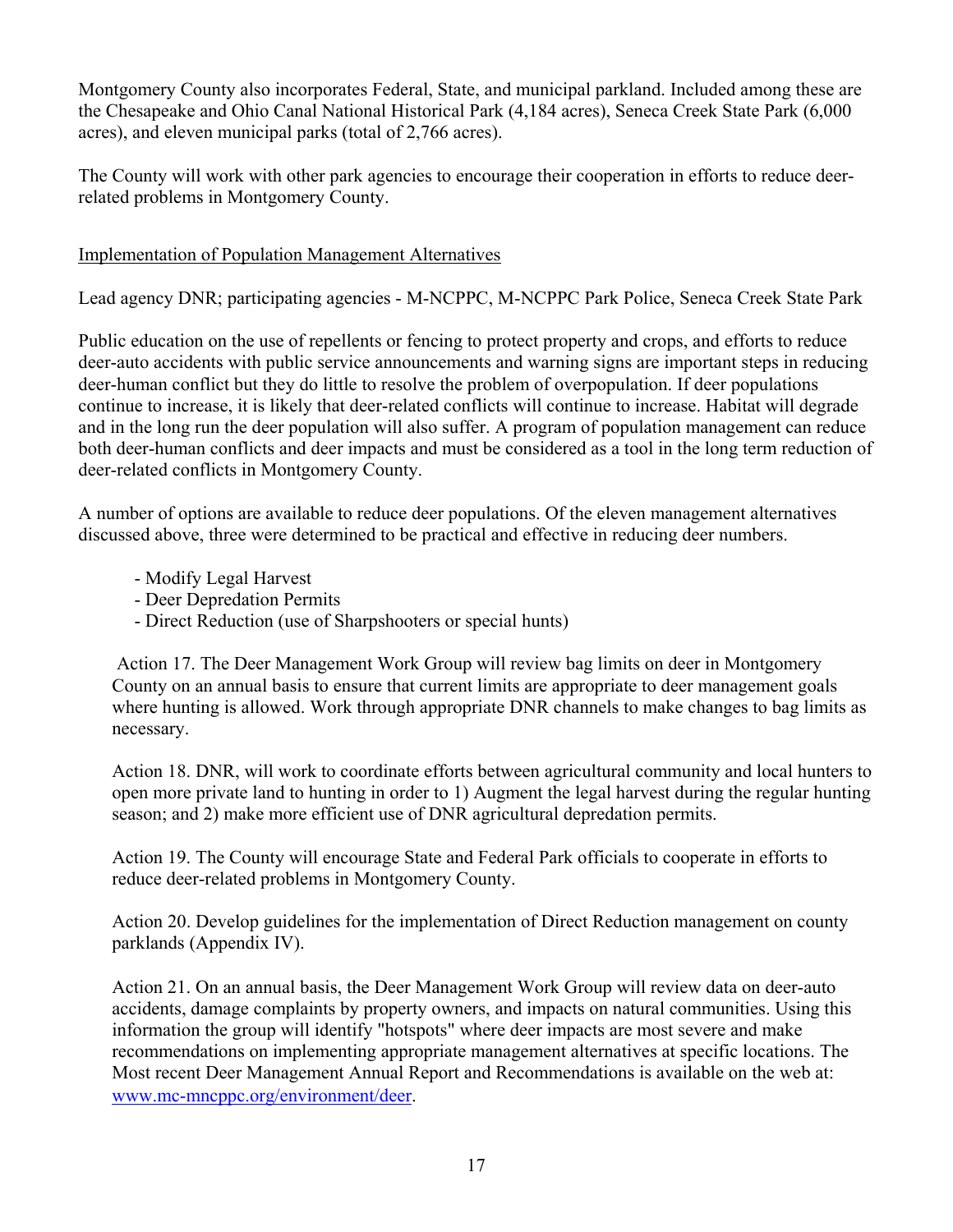Montgomery County also incorporates Federal, State, and municipal parkland. Included among these are the Chesapeake and Ohio Canal National Historical Park (4,184 acres), Seneca Creek State Park (6,000 acres), and eleven municipal parks (total of 2,766 acres).

The County will work with other park agencies to encourage their cooperation in efforts to reduce deerrelated problems in Montgomery County.

# Implementation of Population Management Alternatives

Lead agency DNR; participating agencies - M-NCPPC, M-NCPPC Park Police, Seneca Creek State Park

Public education on the use of repellents or fencing to protect property and crops, and efforts to reduce deer-auto accidents with public service announcements and warning signs are important steps in reducing deer-human conflict but they do little to resolve the problem of overpopulation. If deer populations continue to increase, it is likely that deer-related conflicts will continue to increase. Habitat will degrade and in the long run the deer population will also suffer. A program of population management can reduce both deer-human conflicts and deer impacts and must be considered as a tool in the long term reduction of deer-related conflicts in Montgomery County.

A number of options are available to reduce deer populations. Of the eleven management alternatives discussed above, three were determined to be practical and effective in reducing deer numbers.

- Modify Legal Harvest
- Deer Depredation Permits
- Direct Reduction (use of Sharpshooters or special hunts)

 Action 17. The Deer Management Work Group will review bag limits on deer in Montgomery County on an annual basis to ensure that current limits are appropriate to deer management goals where hunting is allowed. Work through appropriate DNR channels to make changes to bag limits as necessary.

Action 18. DNR, will work to coordinate efforts between agricultural community and local hunters to open more private land to hunting in order to 1) Augment the legal harvest during the regular hunting season; and 2) make more efficient use of DNR agricultural depredation permits.

Action 19. The County will encourage State and Federal Park officials to cooperate in efforts to reduce deer-related problems in Montgomery County.

Action 20. Develop guidelines for the implementation of Direct Reduction management on county parklands (Appendix IV).

Action 21. On an annual basis, the Deer Management Work Group will review data on deer-auto accidents, damage complaints by property owners, and impacts on natural communities. Using this information the group will identify "hotspots" where deer impacts are most severe and make recommendations on implementing appropriate management alternatives at specific locations. The Most recent Deer Management Annual Report and Recommendations is available on the web at: [www.mc-mncppc.org/environment/deer.](http://www.mc-mncppc.org/environmental/deer)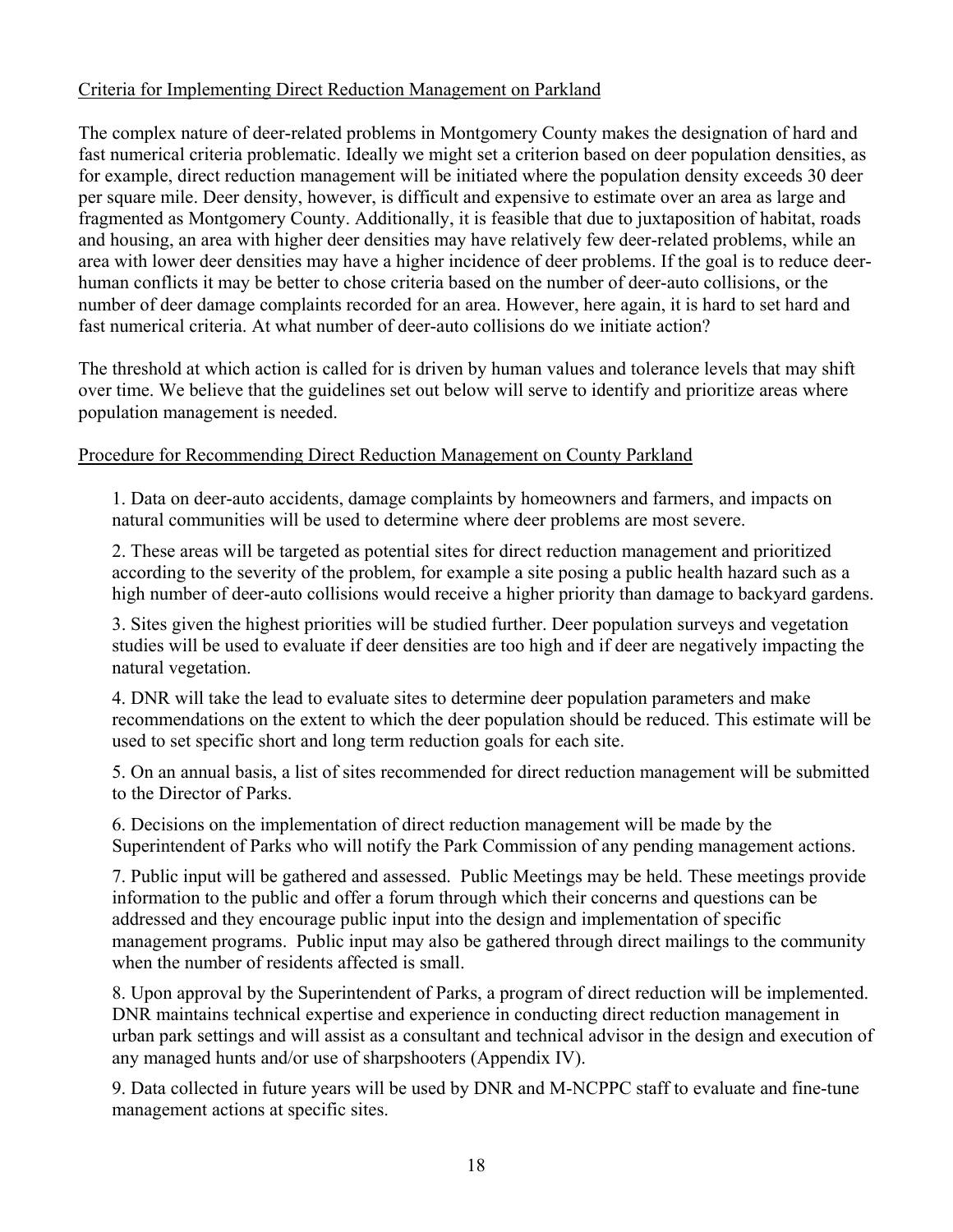# Criteria for Implementing Direct Reduction Management on Parkland

The complex nature of deer-related problems in Montgomery County makes the designation of hard and fast numerical criteria problematic. Ideally we might set a criterion based on deer population densities, as for example, direct reduction management will be initiated where the population density exceeds 30 deer per square mile. Deer density, however, is difficult and expensive to estimate over an area as large and fragmented as Montgomery County. Additionally, it is feasible that due to juxtaposition of habitat, roads and housing, an area with higher deer densities may have relatively few deer-related problems, while an area with lower deer densities may have a higher incidence of deer problems. If the goal is to reduce deerhuman conflicts it may be better to chose criteria based on the number of deer-auto collisions, or the number of deer damage complaints recorded for an area. However, here again, it is hard to set hard and fast numerical criteria. At what number of deer-auto collisions do we initiate action?

The threshold at which action is called for is driven by human values and tolerance levels that may shift over time. We believe that the guidelines set out below will serve to identify and prioritize areas where population management is needed.

#### Procedure for Recommending Direct Reduction Management on County Parkland

1. Data on deer-auto accidents, damage complaints by homeowners and farmers, and impacts on natural communities will be used to determine where deer problems are most severe.

2. These areas will be targeted as potential sites for direct reduction management and prioritized according to the severity of the problem, for example a site posing a public health hazard such as a high number of deer-auto collisions would receive a higher priority than damage to backyard gardens.

3. Sites given the highest priorities will be studied further. Deer population surveys and vegetation studies will be used to evaluate if deer densities are too high and if deer are negatively impacting the natural vegetation.

4. DNR will take the lead to evaluate sites to determine deer population parameters and make recommendations on the extent to which the deer population should be reduced. This estimate will be used to set specific short and long term reduction goals for each site.

5. On an annual basis, a list of sites recommended for direct reduction management will be submitted to the Director of Parks.

6. Decisions on the implementation of direct reduction management will be made by the Superintendent of Parks who will notify the Park Commission of any pending management actions.

7. Public input will be gathered and assessed. Public Meetings may be held. These meetings provide information to the public and offer a forum through which their concerns and questions can be addressed and they encourage public input into the design and implementation of specific management programs. Public input may also be gathered through direct mailings to the community when the number of residents affected is small.

8. Upon approval by the Superintendent of Parks, a program of direct reduction will be implemented. DNR maintains technical expertise and experience in conducting direct reduction management in urban park settings and will assist as a consultant and technical advisor in the design and execution of any managed hunts and/or use of sharpshooters (Appendix IV).

9. Data collected in future years will be used by DNR and M-NCPPC staff to evaluate and fine-tune management actions at specific sites.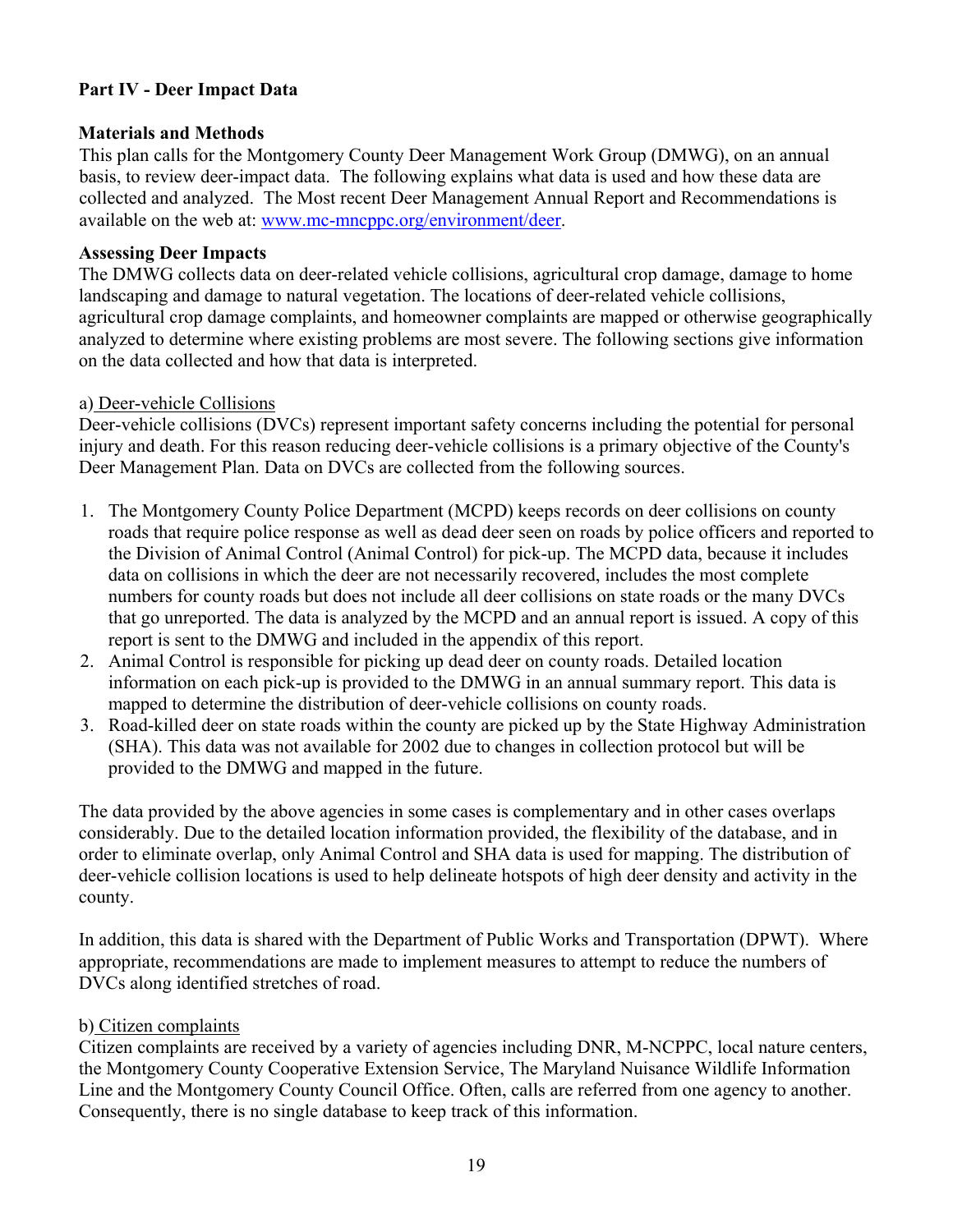# **Part IV - Deer Impact Data**

#### **Materials and Methods**

This plan calls for the Montgomery County Deer Management Work Group (DMWG), on an annual basis, to review deer-impact data. The following explains what data is used and how these data are collected and analyzed. The Most recent Deer Management Annual Report and Recommendations is available on the web at: [www.mc-mncppc.org/environment/deer.](http://www.mc-mncppc.org/environmental/deer)

#### **Assessing Deer Impacts**

The DMWG collects data on deer-related vehicle collisions, agricultural crop damage, damage to home landscaping and damage to natural vegetation. The locations of deer-related vehicle collisions, agricultural crop damage complaints, and homeowner complaints are mapped or otherwise geographically analyzed to determine where existing problems are most severe. The following sections give information on the data collected and how that data is interpreted.

#### a) Deer-vehicle Collisions

Deer-vehicle collisions (DVCs) represent important safety concerns including the potential for personal injury and death. For this reason reducing deer-vehicle collisions is a primary objective of the County's Deer Management Plan. Data on DVCs are collected from the following sources.

- 1. The Montgomery County Police Department (MCPD) keeps records on deer collisions on county roads that require police response as well as dead deer seen on roads by police officers and reported to the Division of Animal Control (Animal Control) for pick-up. The MCPD data, because it includes data on collisions in which the deer are not necessarily recovered, includes the most complete numbers for county roads but does not include all deer collisions on state roads or the many DVCs that go unreported. The data is analyzed by the MCPD and an annual report is issued. A copy of this report is sent to the DMWG and included in the appendix of this report.
- 2. Animal Control is responsible for picking up dead deer on county roads. Detailed location information on each pick-up is provided to the DMWG in an annual summary report. This data is mapped to determine the distribution of deer-vehicle collisions on county roads.
- 3. Road-killed deer on state roads within the county are picked up by the State Highway Administration (SHA). This data was not available for 2002 due to changes in collection protocol but will be provided to the DMWG and mapped in the future.

The data provided by the above agencies in some cases is complementary and in other cases overlaps considerably. Due to the detailed location information provided, the flexibility of the database, and in order to eliminate overlap, only Animal Control and SHA data is used for mapping. The distribution of deer-vehicle collision locations is used to help delineate hotspots of high deer density and activity in the county.

In addition, this data is shared with the Department of Public Works and Transportation (DPWT). Where appropriate, recommendations are made to implement measures to attempt to reduce the numbers of DVCs along identified stretches of road.

# b) Citizen complaints

Citizen complaints are received by a variety of agencies including DNR, M-NCPPC, local nature centers, the Montgomery County Cooperative Extension Service, The Maryland Nuisance Wildlife Information Line and the Montgomery County Council Office. Often, calls are referred from one agency to another. Consequently, there is no single database to keep track of this information.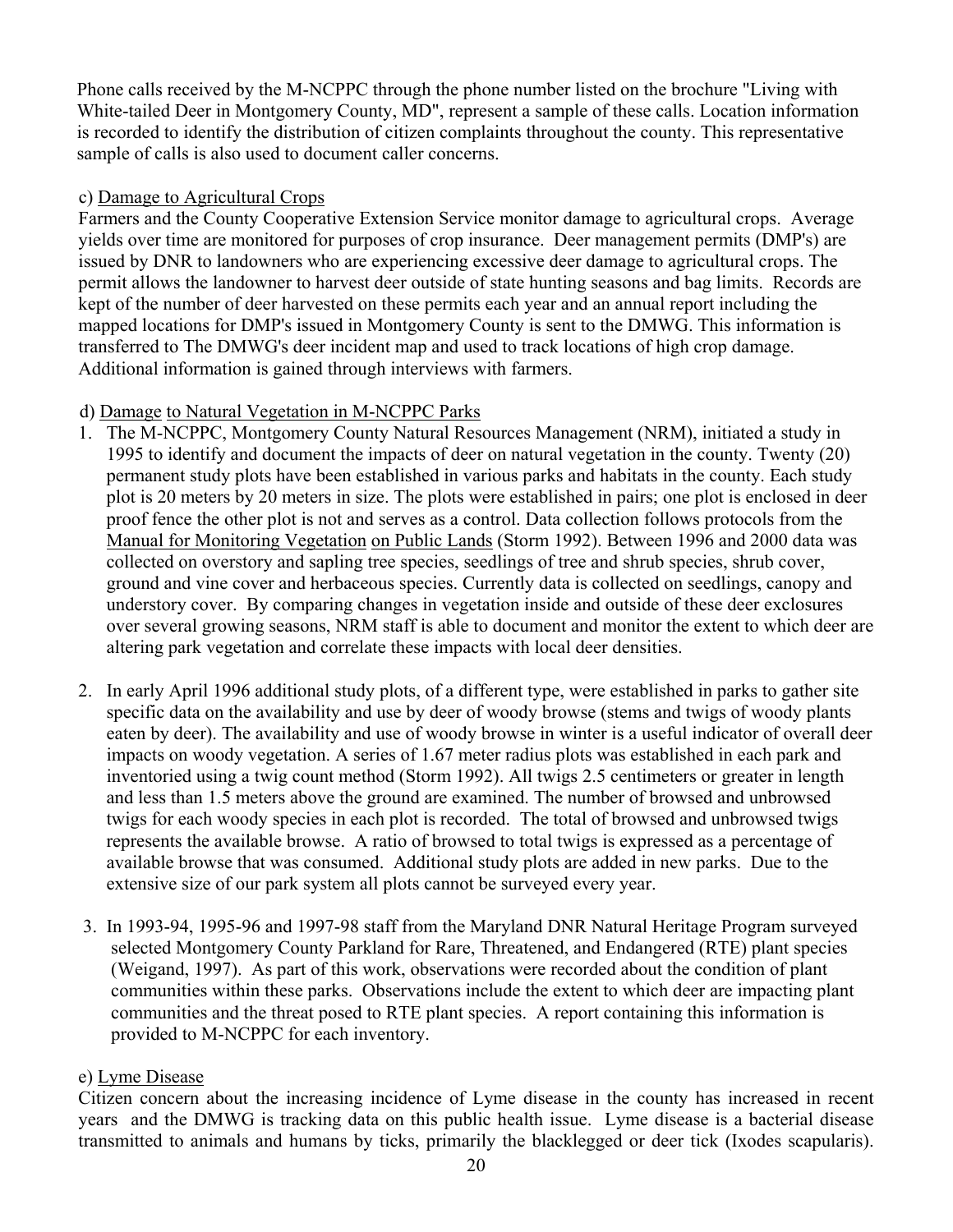Phone calls received by the M-NCPPC through the phone number listed on the brochure "Living with White-tailed Deer in Montgomery County, MD", represent a sample of these calls. Location information is recorded to identify the distribution of citizen complaints throughout the county. This representative sample of calls is also used to document caller concerns.

# c) Damage to Agricultural Crops

Farmers and the County Cooperative Extension Service monitor damage to agricultural crops. Average yields over time are monitored for purposes of crop insurance. Deer management permits (DMP's) are issued by DNR to landowners who are experiencing excessive deer damage to agricultural crops. The permit allows the landowner to harvest deer outside of state hunting seasons and bag limits. Records are kept of the number of deer harvested on these permits each year and an annual report including the mapped locations for DMP's issued in Montgomery County is sent to the DMWG. This information is transferred to The DMWG's deer incident map and used to track locations of high crop damage. Additional information is gained through interviews with farmers.

# d) Damage to Natural Vegetation in M-NCPPC Parks

- 1. The M-NCPPC, Montgomery County Natural Resources Management (NRM), initiated a study in 1995 to identify and document the impacts of deer on natural vegetation in the county. Twenty (20) permanent study plots have been established in various parks and habitats in the county. Each study plot is 20 meters by 20 meters in size. The plots were established in pairs; one plot is enclosed in deer proof fence the other plot is not and serves as a control. Data collection follows protocols from the Manual for Monitoring Vegetation on Public Lands (Storm 1992). Between 1996 and 2000 data was collected on overstory and sapling tree species, seedlings of tree and shrub species, shrub cover, ground and vine cover and herbaceous species. Currently data is collected on seedlings, canopy and understory cover. By comparing changes in vegetation inside and outside of these deer exclosures over several growing seasons, NRM staff is able to document and monitor the extent to which deer are altering park vegetation and correlate these impacts with local deer densities.
- 2. In early April 1996 additional study plots, of a different type, were established in parks to gather site specific data on the availability and use by deer of woody browse (stems and twigs of woody plants eaten by deer). The availability and use of woody browse in winter is a useful indicator of overall deer impacts on woody vegetation. A series of 1.67 meter radius plots was established in each park and inventoried using a twig count method (Storm 1992). All twigs 2.5 centimeters or greater in length and less than 1.5 meters above the ground are examined. The number of browsed and unbrowsed twigs for each woody species in each plot is recorded. The total of browsed and unbrowsed twigs represents the available browse. A ratio of browsed to total twigs is expressed as a percentage of available browse that was consumed. Additional study plots are added in new parks. Due to the extensive size of our park system all plots cannot be surveyed every year.
- 3. In 1993-94, 1995-96 and 1997-98 staff from the Maryland DNR Natural Heritage Program surveyed selected Montgomery County Parkland for Rare, Threatened, and Endangered (RTE) plant species (Weigand, 1997). As part of this work, observations were recorded about the condition of plant communities within these parks. Observations include the extent to which deer are impacting plant communities and the threat posed to RTE plant species. A report containing this information is provided to M-NCPPC for each inventory.

# e) Lyme Disease

Citizen concern about the increasing incidence of Lyme disease in the county has increased in recent years and the DMWG is tracking data on this public health issue. Lyme disease is a bacterial disease transmitted to animals and humans by ticks, primarily the blacklegged or deer tick (Ixodes scapularis).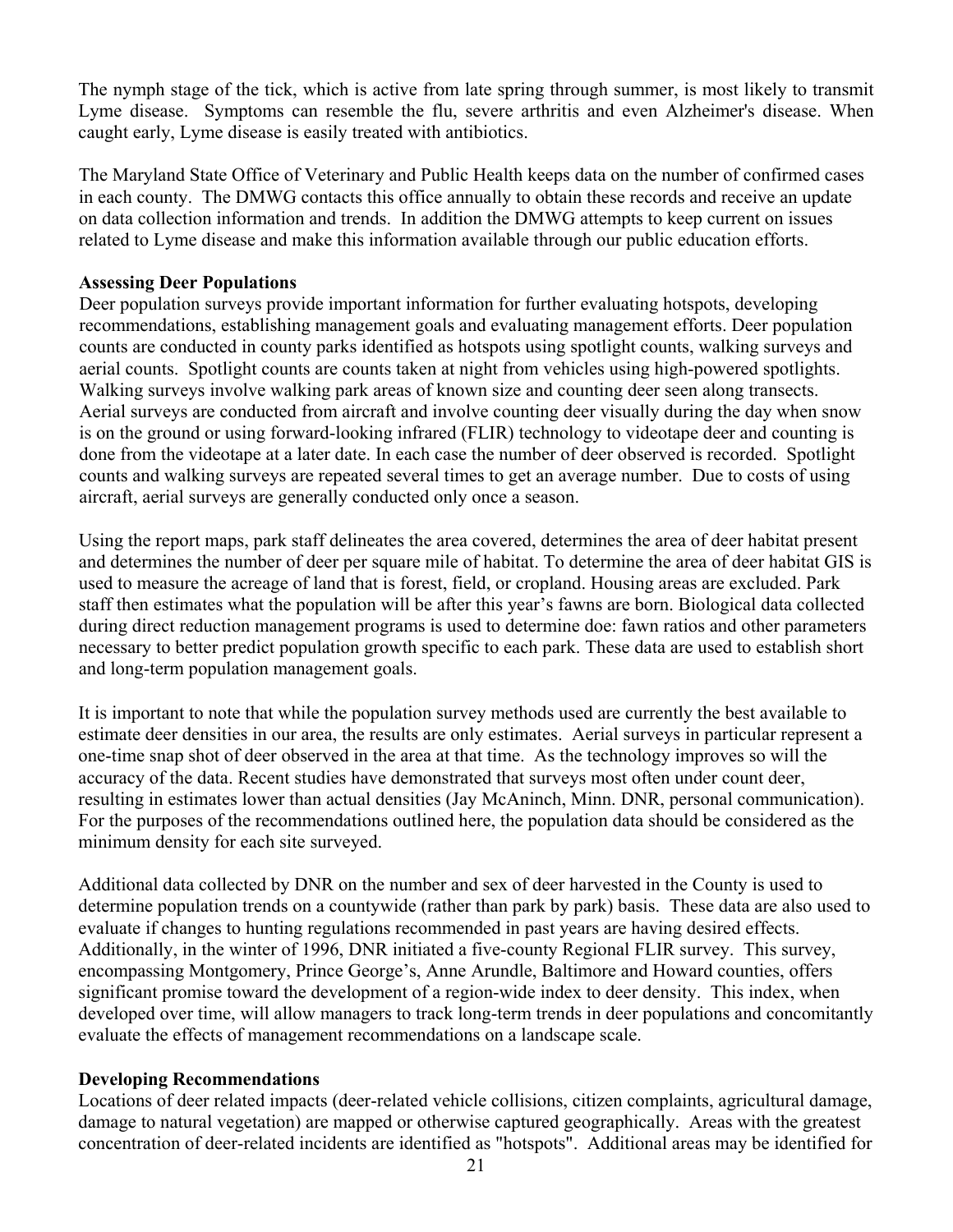The nymph stage of the tick, which is active from late spring through summer, is most likely to transmit Lyme disease. Symptoms can resemble the flu, severe arthritis and even Alzheimer's disease. When caught early, Lyme disease is easily treated with antibiotics.

The Maryland State Office of Veterinary and Public Health keeps data on the number of confirmed cases in each county. The DMWG contacts this office annually to obtain these records and receive an update on data collection information and trends. In addition the DMWG attempts to keep current on issues related to Lyme disease and make this information available through our public education efforts.

#### **Assessing Deer Populations**

Deer population surveys provide important information for further evaluating hotspots, developing recommendations, establishing management goals and evaluating management efforts. Deer population counts are conducted in county parks identified as hotspots using spotlight counts, walking surveys and aerial counts. Spotlight counts are counts taken at night from vehicles using high-powered spotlights. Walking surveys involve walking park areas of known size and counting deer seen along transects. Aerial surveys are conducted from aircraft and involve counting deer visually during the day when snow is on the ground or using forward-looking infrared (FLIR) technology to videotape deer and counting is done from the videotape at a later date. In each case the number of deer observed is recorded. Spotlight counts and walking surveys are repeated several times to get an average number. Due to costs of using aircraft, aerial surveys are generally conducted only once a season.

Using the report maps, park staff delineates the area covered, determines the area of deer habitat present and determines the number of deer per square mile of habitat. To determine the area of deer habitat GIS is used to measure the acreage of land that is forest, field, or cropland. Housing areas are excluded. Park staff then estimates what the population will be after this year's fawns are born. Biological data collected during direct reduction management programs is used to determine doe: fawn ratios and other parameters necessary to better predict population growth specific to each park. These data are used to establish short and long-term population management goals.

It is important to note that while the population survey methods used are currently the best available to estimate deer densities in our area, the results are only estimates. Aerial surveys in particular represent a one-time snap shot of deer observed in the area at that time.As the technology improves so will the accuracy of the data. Recent studies have demonstrated that surveys most often under count deer, resulting in estimates lower than actual densities (Jay McAninch, Minn. DNR, personal communication). For the purposes of the recommendations outlined here, the population data should be considered as the minimum density for each site surveyed.

Additional data collected by DNR on the number and sex of deer harvested in the County is used to determine population trends on a countywide (rather than park by park) basis. These data are also used to evaluate if changes to hunting regulations recommended in past years are having desired effects. Additionally, in the winter of 1996, DNR initiated a five-county Regional FLIR survey. This survey, encompassing Montgomery, Prince George's, Anne Arundle, Baltimore and Howard counties, offers significant promise toward the development of a region-wide index to deer density. This index, when developed over time, will allow managers to track long-term trends in deer populations and concomitantly evaluate the effects of management recommendations on a landscape scale.

# **Developing Recommendations**

Locations of deer related impacts (deer-related vehicle collisions, citizen complaints, agricultural damage, damage to natural vegetation) are mapped or otherwise captured geographically. Areas with the greatest concentration of deer-related incidents are identified as "hotspots". Additional areas may be identified for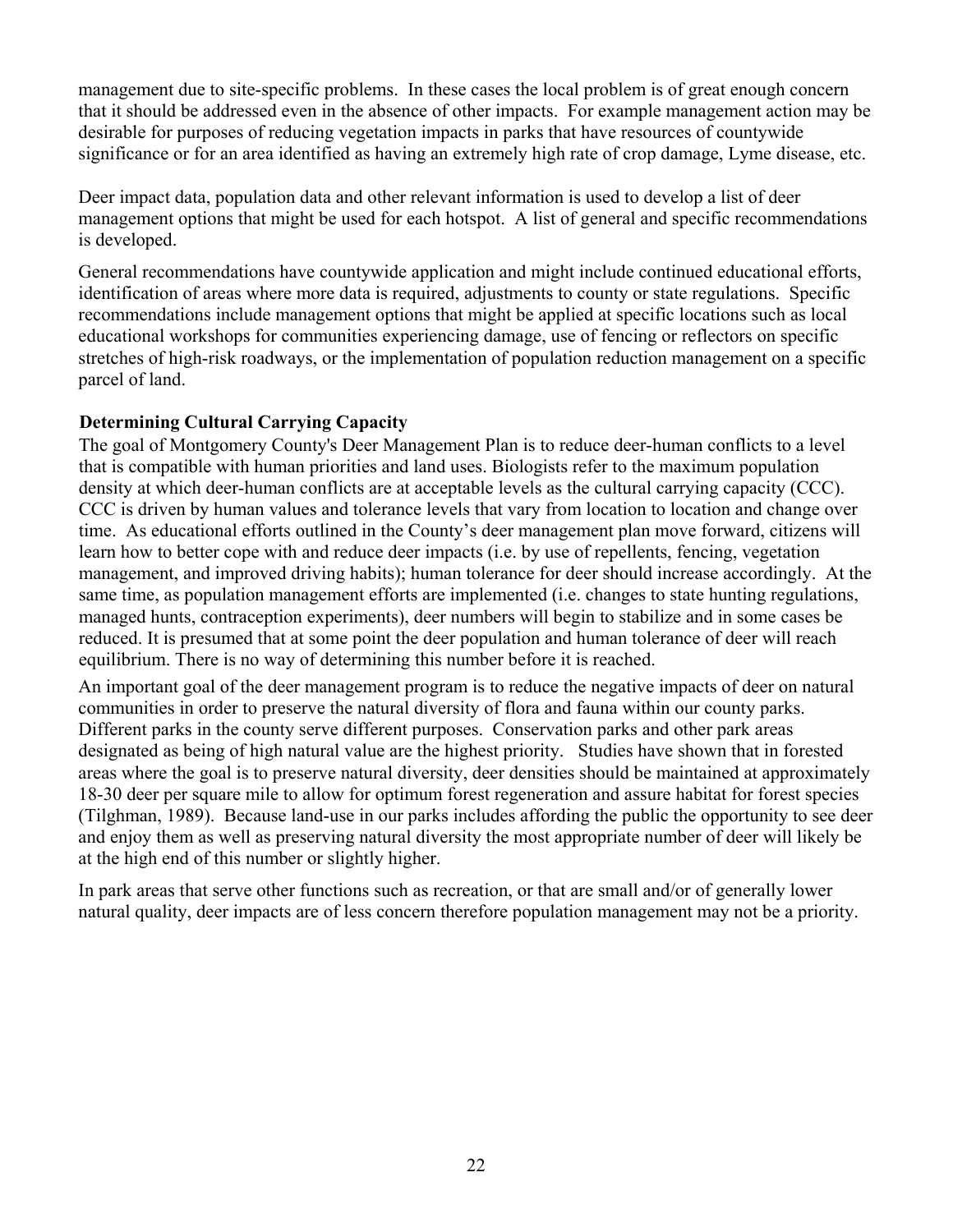management due to site-specific problems. In these cases the local problem is of great enough concern that it should be addressed even in the absence of other impacts. For example management action may be desirable for purposes of reducing vegetation impacts in parks that have resources of countywide significance or for an area identified as having an extremely high rate of crop damage, Lyme disease, etc.

Deer impact data, population data and other relevant information is used to develop a list of deer management options that might be used for each hotspot. A list of general and specific recommendations is developed.

General recommendations have countywide application and might include continued educational efforts, identification of areas where more data is required, adjustments to county or state regulations. Specific recommendations include management options that might be applied at specific locations such as local educational workshops for communities experiencing damage, use of fencing or reflectors on specific stretches of high-risk roadways, or the implementation of population reduction management on a specific parcel of land.

# **Determining Cultural Carrying Capacity**

The goal of Montgomery County's Deer Management Plan is to reduce deer-human conflicts to a level that is compatible with human priorities and land uses. Biologists refer to the maximum population density at which deer-human conflicts are at acceptable levels as the cultural carrying capacity (CCC). CCC is driven by human values and tolerance levels that vary from location to location and change over time. As educational efforts outlined in the County's deer management plan move forward, citizens will learn how to better cope with and reduce deer impacts (i.e. by use of repellents, fencing, vegetation management, and improved driving habits); human tolerance for deer should increase accordingly. At the same time, as population management efforts are implemented (i.e. changes to state hunting regulations, managed hunts, contraception experiments), deer numbers will begin to stabilize and in some cases be reduced. It is presumed that at some point the deer population and human tolerance of deer will reach equilibrium. There is no way of determining this number before it is reached.

An important goal of the deer management program is to reduce the negative impacts of deer on natural communities in order to preserve the natural diversity of flora and fauna within our county parks. Different parks in the county serve different purposes. Conservation parks and other park areas designated as being of high natural value are the highest priority. Studies have shown that in forested areas where the goal is to preserve natural diversity, deer densities should be maintained at approximately 18-30 deer per square mile to allow for optimum forest regeneration and assure habitat for forest species (Tilghman, 1989). Because land-use in our parks includes affording the public the opportunity to see deer and enjoy them as well as preserving natural diversity the most appropriate number of deer will likely be at the high end of this number or slightly higher.

In park areas that serve other functions such as recreation, or that are small and/or of generally lower natural quality, deer impacts are of less concern therefore population management may not be a priority.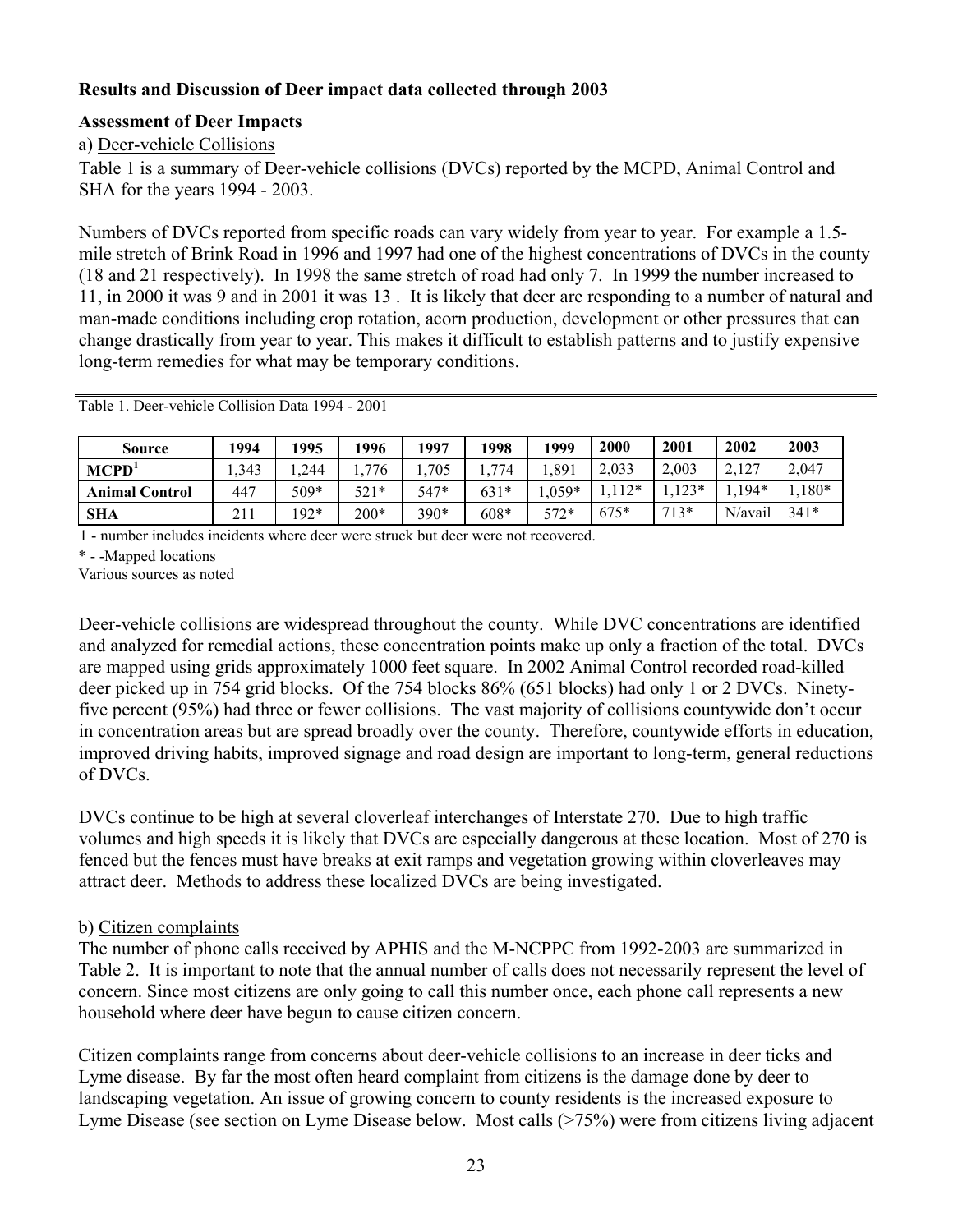# **Results and Discussion of Deer impact data collected through 2003**

#### **Assessment of Deer Impacts**

a) Deer-vehicle Collisions

Table 1 is a summary of Deer-vehicle collisions (DVCs) reported by the MCPD, Animal Control and SHA for the years 1994 - 2003.

Numbers of DVCs reported from specific roads can vary widely from year to year. For example a 1.5 mile stretch of Brink Road in 1996 and 1997 had one of the highest concentrations of DVCs in the county (18 and 21 respectively). In 1998 the same stretch of road had only 7. In 1999 the number increased to 11, in 2000 it was 9 and in 2001 it was 13 . It is likely that deer are responding to a number of natural and man-made conditions including crop rotation, acorn production, development or other pressures that can change drastically from year to year. This makes it difficult to establish patterns and to justify expensive long-term remedies for what may be temporary conditions.

| <b>Source</b>         | 1994 | 1995   | 1996   | 1997   | 1998   | 1999  | 2000   | 2001   | 2002         | 2003   |
|-----------------------|------|--------|--------|--------|--------|-------|--------|--------|--------------|--------|
| MCPD <sup>1</sup>     | ,343 | .244   | 776    | 705    | 774    | ,891  | 2,033  | 2,003  | 2127<br>4.14 | 2,047  |
| <b>Animal Control</b> | 447  | 509*   | $521*$ | 547*   | $631*$ | .059* | $112*$ | $123*$ | $1,194*$     | $180*$ |
| <b>SHA</b>            | 211  | $192*$ | $200*$ | $390*$ | $608*$ | 577*  | $675*$ | $713*$ | N/avail      | $341*$ |

Table 1. Deer-vehicle Collision Data 1994 - 2001

1 - number includes incidents where deer were struck but deer were not recovered.

\* - -Mapped locations

Various sources as noted

Deer-vehicle collisions are widespread throughout the county. While DVC concentrations are identified and analyzed for remedial actions, these concentration points make up only a fraction of the total. DVCs are mapped using grids approximately 1000 feet square. In 2002 Animal Control recorded road-killed deer picked up in 754 grid blocks. Of the 754 blocks 86% (651 blocks) had only 1 or 2 DVCs. Ninetyfive percent (95%) had three or fewer collisions. The vast majority of collisions countywide don't occur in concentration areas but are spread broadly over the county. Therefore, countywide efforts in education, improved driving habits, improved signage and road design are important to long-term, general reductions of DVCs.

DVCs continue to be high at several cloverleaf interchanges of Interstate 270. Due to high traffic volumes and high speeds it is likely that DVCs are especially dangerous at these location. Most of 270 is fenced but the fences must have breaks at exit ramps and vegetation growing within cloverleaves may attract deer. Methods to address these localized DVCs are being investigated.

# b) Citizen complaints

The number of phone calls received by APHIS and the M-NCPPC from 1992-2003 are summarized in Table 2. It is important to note that the annual number of calls does not necessarily represent the level of concern. Since most citizens are only going to call this number once, each phone call represents a new household where deer have begun to cause citizen concern.

Citizen complaints range from concerns about deer-vehicle collisions to an increase in deer ticks and Lyme disease. By far the most often heard complaint from citizens is the damage done by deer to landscaping vegetation. An issue of growing concern to county residents is the increased exposure to Lyme Disease (see section on Lyme Disease below. Most calls (>75%) were from citizens living adjacent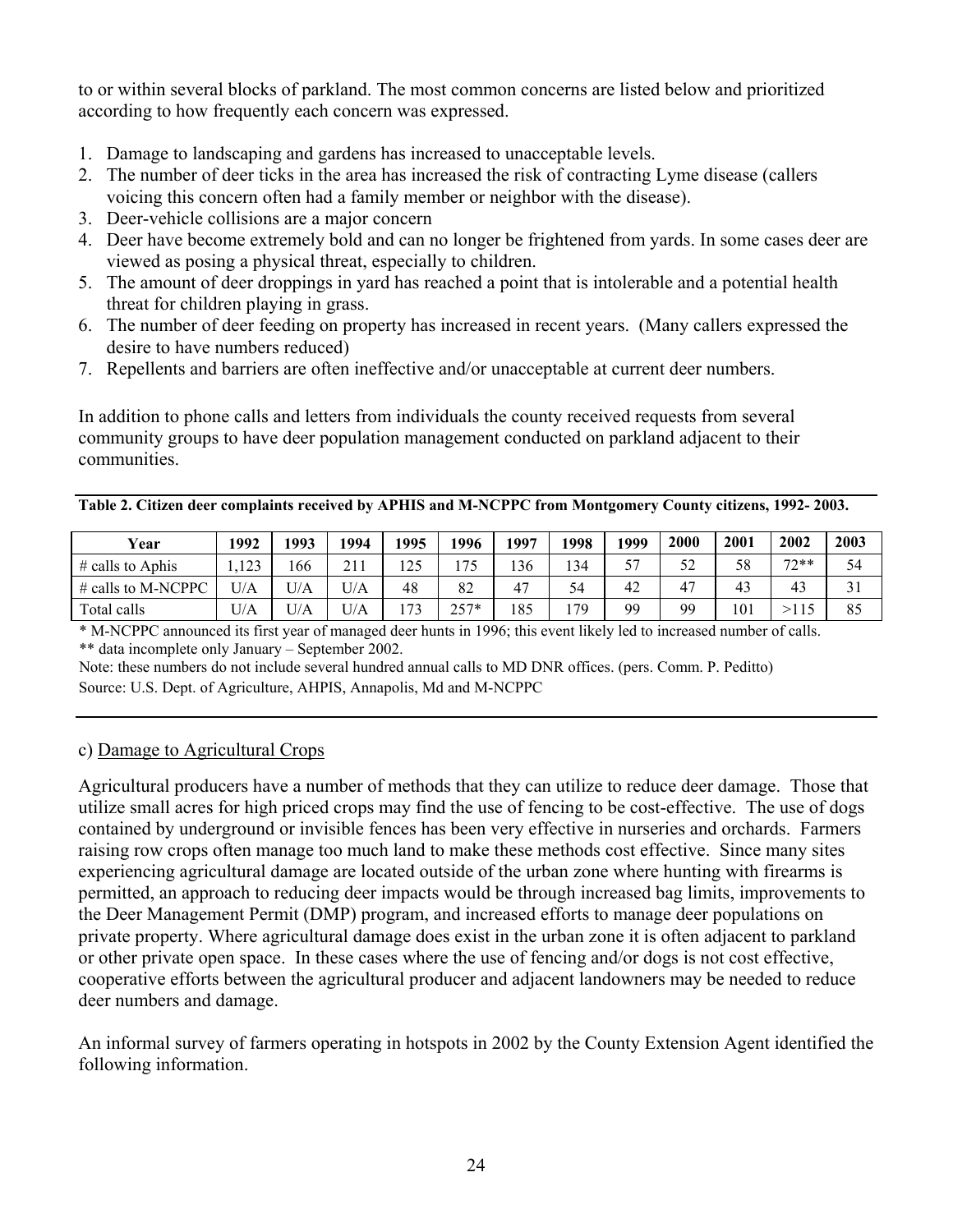to or within several blocks of parkland. The most common concerns are listed below and prioritized according to how frequently each concern was expressed.

- 1. Damage to landscaping and gardens has increased to unacceptable levels.
- 2. The number of deer ticks in the area has increased the risk of contracting Lyme disease (callers voicing this concern often had a family member or neighbor with the disease).
- 3. Deer-vehicle collisions are a major concern
- 4. Deer have become extremely bold and can no longer be frightened from yards. In some cases deer are viewed as posing a physical threat, especially to children.
- 5. The amount of deer droppings in yard has reached a point that is intolerable and a potential health threat for children playing in grass.
- 6. The number of deer feeding on property has increased in recent years. (Many callers expressed the desire to have numbers reduced)
- 7. Repellents and barriers are often ineffective and/or unacceptable at current deer numbers.

In addition to phone calls and letters from individuals the county received requests from several community groups to have deer population management conducted on parkland adjacent to their communities.

**Table 2. Citizen deer complaints received by APHIS and M-NCPPC from Montgomery County citizens, 1992- 2003.** 

| Year               | 1992          | 1993 | 1994       | 1995 | 1996 | 1997 | 1998 | 1999 | 2000        | 2001 | 2002        | 2003 |
|--------------------|---------------|------|------------|------|------|------|------|------|-------------|------|-------------|------|
| $#$ calls to Aphis | 123<br>ر ہے ا | 166  | 211<br>411 | 125  | 75   | 136  | 134  | cπ   | c٨          | 58   | $77**$<br>∸ | 54   |
| # calls to M-NCPPC | U/A           | U/A  | U/A        | 48   | 82   | 47   | 54   | 42   | $4^{\circ}$ | 43   | 43          | JІ   |
| Total calls        | U/A           | U/A  | U/A        | 72   | つぐつ* | 185  | 79   | 99   | QQ          | 101  | >115        | 85   |

\* M-NCPPC announced its first year of managed deer hunts in 1996; this event likely led to increased number of calls. \*\* data incomplete only January – September 2002.

Note: these numbers do not include several hundred annual calls to MD DNR offices. (pers. Comm. P. Peditto) Source: U.S. Dept. of Agriculture, AHPIS, Annapolis, Md and M-NCPPC

# c) Damage to Agricultural Crops

Agricultural producers have a number of methods that they can utilize to reduce deer damage. Those that utilize small acres for high priced crops may find the use of fencing to be cost-effective. The use of dogs contained by underground or invisible fences has been very effective in nurseries and orchards. Farmers raising row crops often manage too much land to make these methods cost effective. Since many sites experiencing agricultural damage are located outside of the urban zone where hunting with firearms is permitted, an approach to reducing deer impacts would be through increased bag limits, improvements to the Deer Management Permit (DMP) program, and increased efforts to manage deer populations on private property. Where agricultural damage does exist in the urban zone it is often adjacent to parkland or other private open space. In these cases where the use of fencing and/or dogs is not cost effective, cooperative efforts between the agricultural producer and adjacent landowners may be needed to reduce deer numbers and damage.

An informal survey of farmers operating in hotspots in 2002 by the County Extension Agent identified the following information.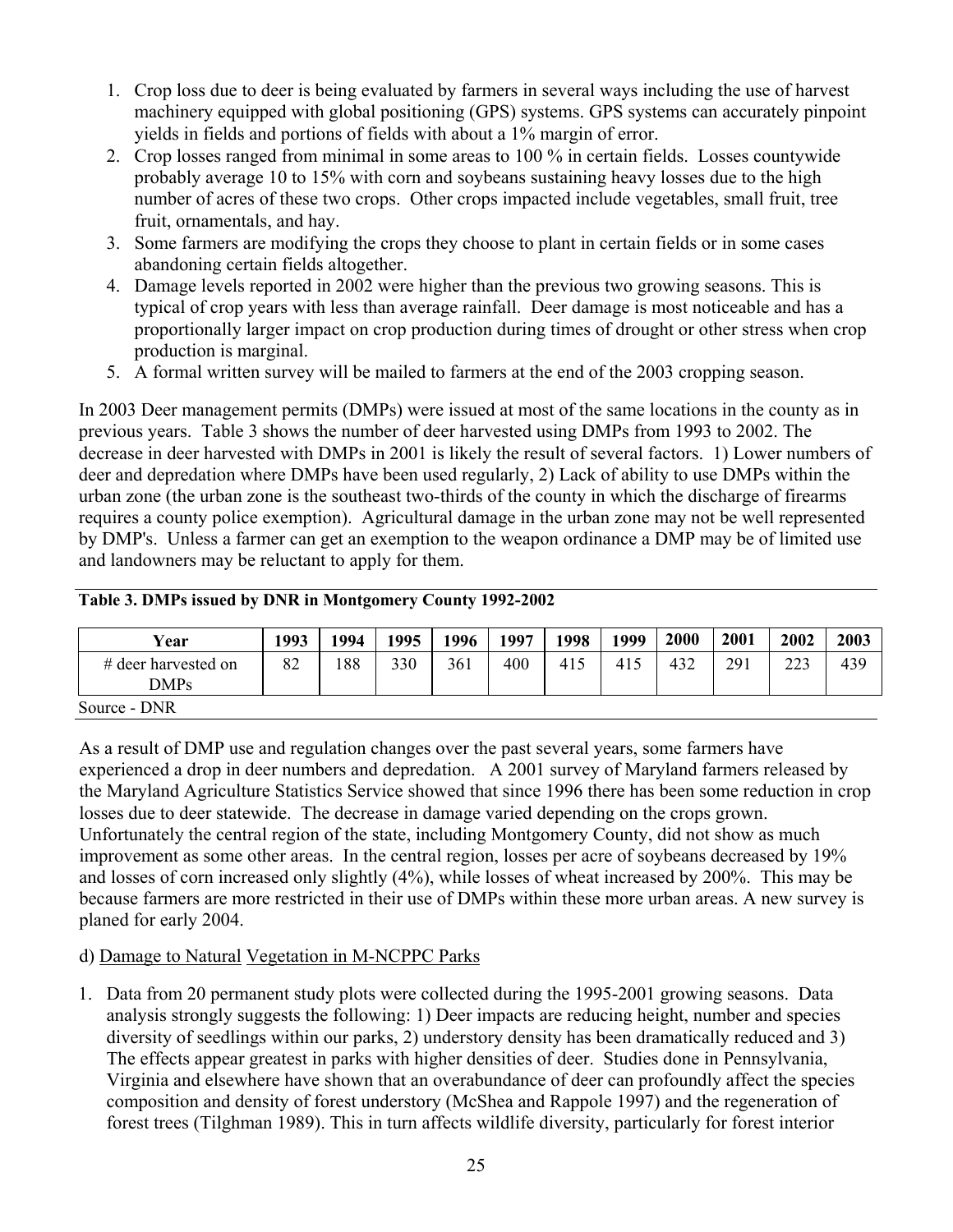- 1. Crop loss due to deer is being evaluated by farmers in several ways including the use of harvest machinery equipped with global positioning (GPS) systems. GPS systems can accurately pinpoint yields in fields and portions of fields with about a 1% margin of error.
- 2. Crop losses ranged from minimal in some areas to 100 % in certain fields. Losses countywide probably average 10 to 15% with corn and soybeans sustaining heavy losses due to the high number of acres of these two crops. Other crops impacted include vegetables, small fruit, tree fruit, ornamentals, and hay.
- 3. Some farmers are modifying the crops they choose to plant in certain fields or in some cases abandoning certain fields altogether.
- 4. Damage levels reported in 2002 were higher than the previous two growing seasons. This is typical of crop years with less than average rainfall. Deer damage is most noticeable and has a proportionally larger impact on crop production during times of drought or other stress when crop production is marginal.
- 5. A formal written survey will be mailed to farmers at the end of the 2003 cropping season.

In 2003 Deer management permits (DMPs) were issued at most of the same locations in the county as in previous years.Table 3 shows the number of deer harvested using DMPs from 1993 to 2002. The decrease in deer harvested with DMPs in 2001 is likely the result of several factors. 1) Lower numbers of deer and depredation where DMPs have been used regularly, 2) Lack of ability to use DMPs within the urban zone (the urban zone is the southeast two-thirds of the county in which the discharge of firearms requires a county police exemption). Agricultural damage in the urban zone may not be well represented by DMP's. Unless a farmer can get an exemption to the weapon ordinance a DMP may be of limited use and landowners may be reluctant to apply for them.

| Table 3. DMPs issued by DNR in Montgomery County 1992-2002 |  |
|------------------------------------------------------------|--|
|                                                            |  |

| <b>Year</b>                        | 1993 | 1994 | 1995 | 1996 | 1997 | 1998 | 1999 | 2000 | 2001 | 2002 | 2003 |
|------------------------------------|------|------|------|------|------|------|------|------|------|------|------|
| # deer harvested on<br><b>DMPs</b> | 82   | 188  | 330  | 361  | 400  | 415  | 415  | 432  | 291  | 223  | 439  |
| Source - DNR                       |      |      |      |      |      |      |      |      |      |      |      |

As a result of DMP use and regulation changes over the past several years, some farmers have experienced a drop in deer numbers and depredation. A 2001 survey of Maryland farmers released by the Maryland Agriculture Statistics Service showed that since 1996 there has been some reduction in crop losses due to deer statewide. The decrease in damage varied depending on the crops grown. Unfortunately the central region of the state, including Montgomery County, did not show as much improvement as some other areas. In the central region, losses per acre of soybeans decreased by 19% and losses of corn increased only slightly (4%), while losses of wheat increased by 200%. This may be because farmers are more restricted in their use of DMPs within these more urban areas. A new survey is planed for early 2004.

# d) Damage to Natural Vegetation in M-NCPPC Parks

1. Data from 20 permanent study plots were collected during the 1995-2001 growing seasons. Data analysis strongly suggests the following: 1) Deer impacts are reducing height, number and species diversity of seedlings within our parks, 2) understory density has been dramatically reduced and 3) The effects appear greatest in parks with higher densities of deer. Studies done in Pennsylvania, Virginia and elsewhere have shown that an overabundance of deer can profoundly affect the species composition and density of forest understory (McShea and Rappole 1997) and the regeneration of forest trees (Tilghman 1989). This in turn affects wildlife diversity, particularly for forest interior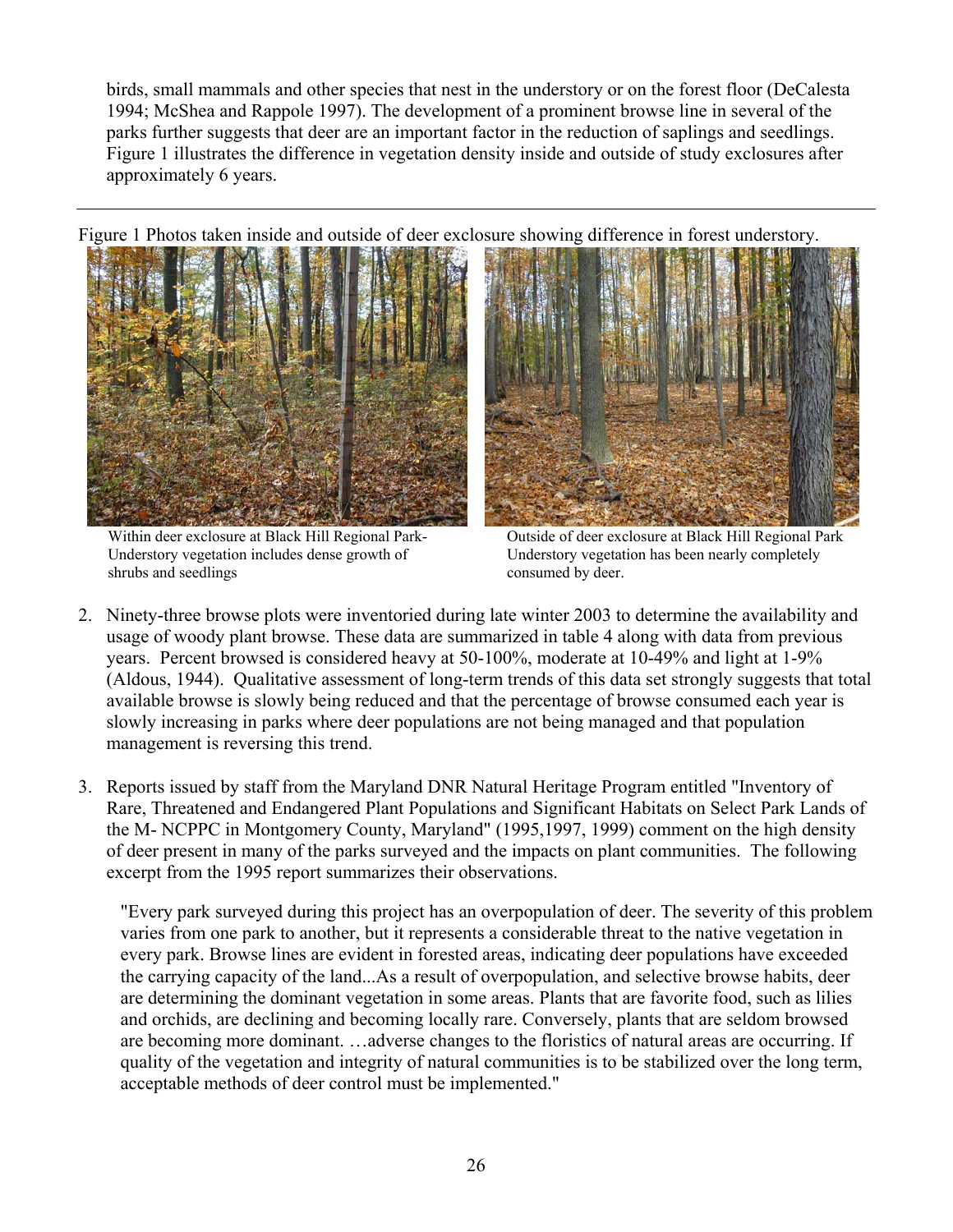birds, small mammals and other species that nest in the understory or on the forest floor (DeCalesta 1994; McShea and Rappole 1997). The development of a prominent browse line in several of the parks further suggests that deer are an important factor in the reduction of saplings and seedlings. Figure 1 illustrates the difference in vegetation density inside and outside of study exclosures after approximately 6 years.

Figure 1 Photos taken inside and outside of deer exclosure showing difference in forest understory.



Within deer exclosure at Black Hill Regional Park-Understory vegetation includes dense growth of shrubs and seedlings



Outside of deer exclosure at Black Hill Regional Park Understory vegetation has been nearly completely consumed by deer.

- 2. Ninety-three browse plots were inventoried during late winter 2003 to determine the availability and usage of woody plant browse. These data are summarized in table 4 along with data from previous years. Percent browsed is considered heavy at 50-100%, moderate at 10-49% and light at 1-9% (Aldous, 1944). Qualitative assessment of long-term trends of this data set strongly suggests that total available browse is slowly being reduced and that the percentage of browse consumed each year is slowly increasing in parks where deer populations are not being managed and that population management is reversing this trend.
- 3. Reports issued by staff from the Maryland DNR Natural Heritage Program entitled "Inventory of Rare, Threatened and Endangered Plant Populations and Significant Habitats on Select Park Lands of the M- NCPPC in Montgomery County, Maryland" (1995,1997, 1999) comment on the high density of deer present in many of the parks surveyed and the impacts on plant communities. The following excerpt from the 1995 report summarizes their observations.

"Every park surveyed during this project has an overpopulation of deer. The severity of this problem varies from one park to another, but it represents a considerable threat to the native vegetation in every park. Browse lines are evident in forested areas, indicating deer populations have exceeded the carrying capacity of the land...As a result of overpopulation, and selective browse habits, deer are determining the dominant vegetation in some areas. Plants that are favorite food, such as lilies and orchids, are declining and becoming locally rare. Conversely, plants that are seldom browsed are becoming more dominant. …adverse changes to the floristics of natural areas are occurring. If quality of the vegetation and integrity of natural communities is to be stabilized over the long term, acceptable methods of deer control must be implemented."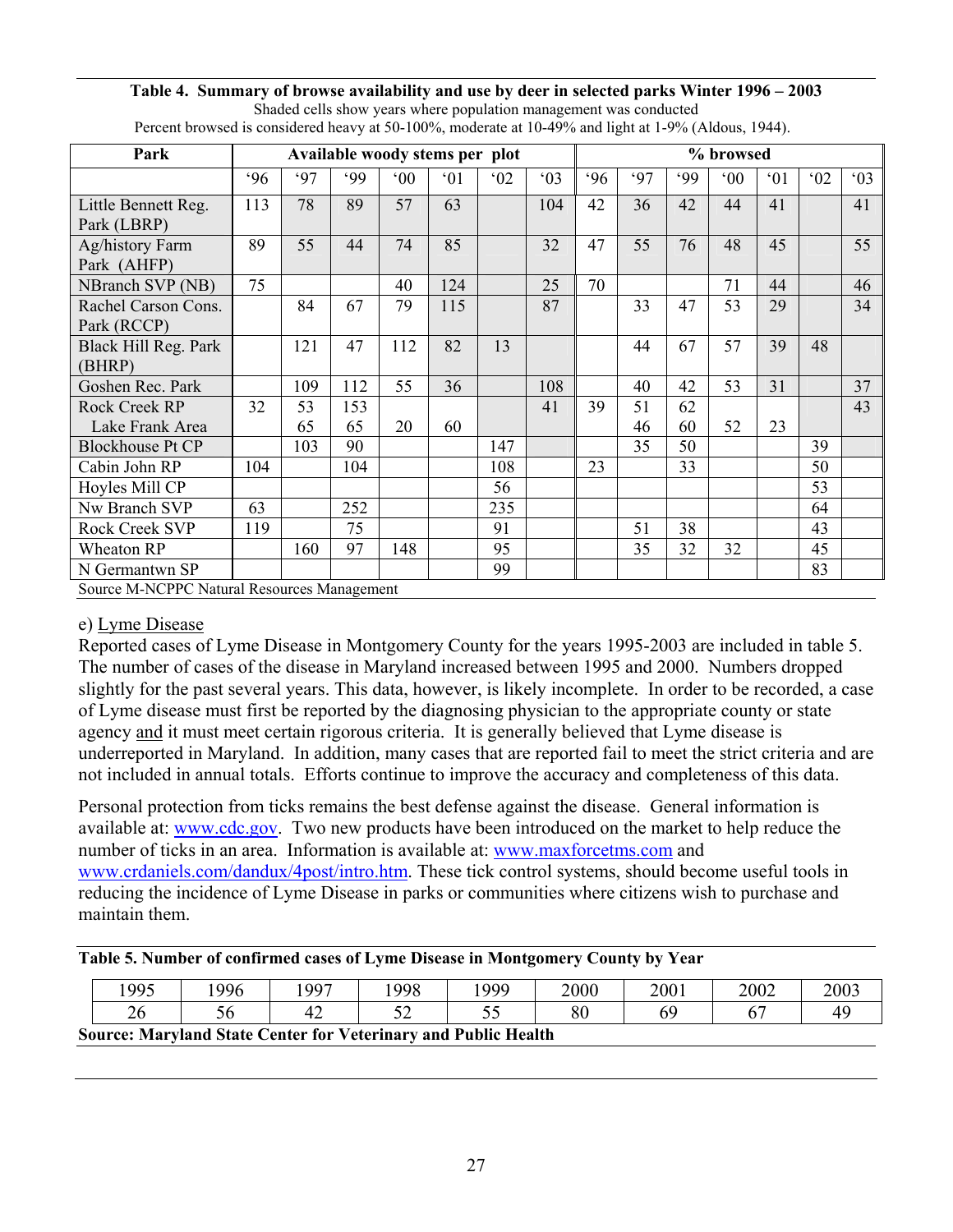#### **Table 4. Summary of browse availability and use by deer in selected parks Winter 1996 – 2003**  Shaded cells show years where population management was conducted

| Percent browsed is considered heavy at 50-100%, moderate at 10-49% and light at 1-9% (Aldous, 1944). |     |          |                                |              |     |     |              |     |          |          |              |              |              |              |
|------------------------------------------------------------------------------------------------------|-----|----------|--------------------------------|--------------|-----|-----|--------------|-----|----------|----------|--------------|--------------|--------------|--------------|
| Park                                                                                                 |     |          | Available woody stems per plot |              |     |     |              |     |          |          | % browsed    |              |              |              |
|                                                                                                      | 96  | 97       | .99                            | $00^{\circ}$ | 01  | 02  | $^{\circ}03$ | .96 | 97       | .99      | $00^{\circ}$ | $^{\circ}01$ | $^{\circ}02$ | $^{\circ}03$ |
| Little Bennett Reg.<br>Park (LBRP)                                                                   | 113 | 78       | 89                             | 57           | 63  |     | 104          | 42  | 36       | 42       | 44           | 41           |              | 41           |
| Ag/history Farm<br>Park (AHFP)                                                                       | 89  | 55       | 44                             | 74           | 85  |     | 32           | 47  | 55       | 76       | 48           | 45           |              | 55           |
| NBranch SVP (NB)                                                                                     | 75  |          |                                | 40           | 124 |     | 25           | 70  |          |          | 71           | 44           |              | 46           |
| Rachel Carson Cons.<br>Park (RCCP)                                                                   |     | 84       | 67                             | 79           | 115 |     | 87           |     | 33       | 47       | 53           | 29           |              | 34           |
| Black Hill Reg. Park<br>(BHRP)                                                                       |     | 121      | 47                             | 112          | 82  | 13  |              |     | 44       | 67       | 57           | 39           | 48           |              |
| Goshen Rec. Park                                                                                     |     | 109      | 112                            | 55           | 36  |     | 108          |     | 40       | 42       | 53           | 31           |              | 37           |
| Rock Creek RP<br>Lake Frank Area                                                                     | 32  | 53<br>65 | 153<br>65                      | 20           | 60  |     | 41           | 39  | 51<br>46 | 62<br>60 | 52           | 23           |              | 43           |
| <b>Blockhouse Pt CP</b>                                                                              |     | 103      | 90                             |              |     | 147 |              |     | 35       | 50       |              |              | 39           |              |
| Cabin John RP                                                                                        | 104 |          | 104                            |              |     | 108 |              | 23  |          | 33       |              |              | 50           |              |
| Hoyles Mill CP                                                                                       |     |          |                                |              |     | 56  |              |     |          |          |              |              | 53           |              |
| Nw Branch SVP                                                                                        | 63  |          | 252                            |              |     | 235 |              |     |          |          |              |              | 64           |              |
| Rock Creek SVP                                                                                       | 119 |          | 75                             |              |     | 91  |              |     | 51       | 38       |              |              | 43           |              |
| Wheaton RP                                                                                           |     | 160      | 97                             | 148          |     | 95  |              |     | 35       | 32       | 32           |              | 45           |              |

N Germantwn SP  $\parallel$   $\parallel$   $\parallel$   $\parallel$   $\parallel$   $\parallel$  99  $\parallel$   $\parallel$   $\parallel$   $\parallel$   $\parallel$   $\parallel$  83

# e) Lyme Disease

Source M-NCPPC Natural Resources Management

Reported cases of Lyme Disease in Montgomery County for the years 1995-2003 are included in table 5. The number of cases of the disease in Maryland increased between 1995 and 2000. Numbers dropped slightly for the past several years. This data, however, is likely incomplete. In order to be recorded, a case of Lyme disease must first be reported by the diagnosing physician to the appropriate county or state agency and it must meet certain rigorous criteria. It is generally believed that Lyme disease is underreported in Maryland. In addition, many cases that are reported fail to meet the strict criteria and are not included in annual totals. Efforts continue to improve the accuracy and completeness of this data.

Personal protection from ticks remains the best defense against the disease. General information is available at: [www.cdc.gov](http://www.cdc.gov/). Two new products have been introduced on the market to help reduce the number of ticks in an area. Information is available at: [www.maxforcetms.com](http://www.maxforcetms.com/) and [www.crdaniels.com/dandux/4post/intro.htm](http://www.crdaniels.com/dandux/4post/intro.htm). These tick control systems, should become useful tools in reducing the incidence of Lyme Disease in parks or communities where citizens wish to purchase and maintain them.

**Table 5. Number of confirmed cases of Lyme Disease in Montgomery County by Year** 

|      |     | Table 5. Fulliber of colliff fied cases of Lynne Disease in Frontgomery County by Teat |      |      |      |      |      |      |
|------|-----|----------------------------------------------------------------------------------------|------|------|------|------|------|------|
| 1995 | 996 | 1997                                                                                   | 1998 | 1999 | 2000 | 2001 | 2002 | 2003 |
| 26   |     |                                                                                        |      |      | 80   | 69   |      | 40   |
|      |     | <b>Source: Maryland State Center for Veterinary and Public Health</b>                  |      |      |      |      |      |      |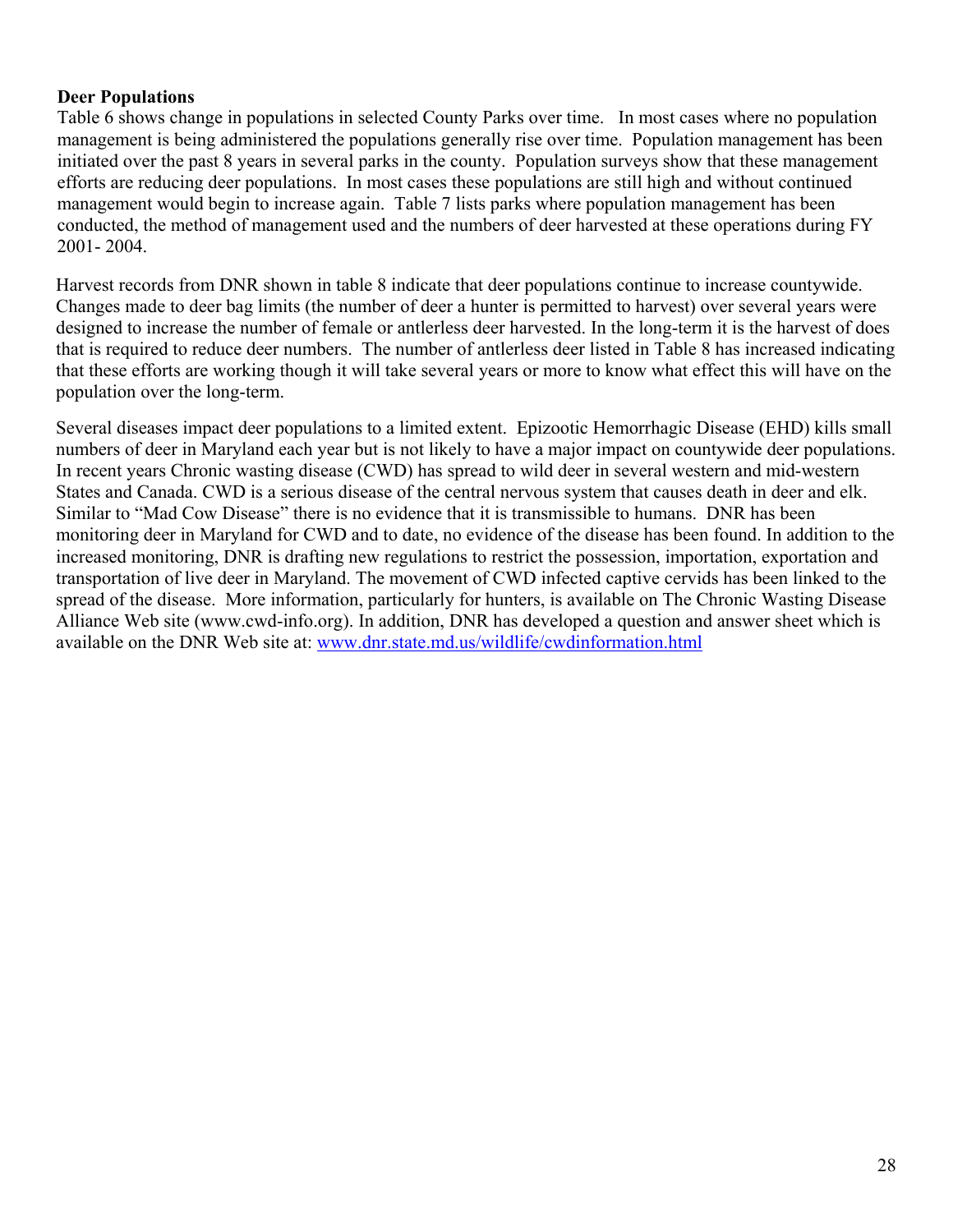# **Deer Populations**

Table 6 shows change in populations in selected County Parks over time. In most cases where no population management is being administered the populations generally rise over time. Population management has been initiated over the past 8 years in several parks in the county. Population surveys show that these management efforts are reducing deer populations. In most cases these populations are still high and without continued management would begin to increase again. Table 7 lists parks where population management has been conducted, the method of management used and the numbers of deer harvested at these operations during FY 2001- 2004.

Harvest records from DNR shown in table 8 indicate that deer populations continue to increase countywide. Changes made to deer bag limits (the number of deer a hunter is permitted to harvest) over several years were designed to increase the number of female or antlerless deer harvested. In the long-term it is the harvest of does that is required to reduce deer numbers. The number of antlerless deer listed in Table 8 has increased indicating that these efforts are working though it will take several years or more to know what effect this will have on the population over the long-term.

Several diseases impact deer populations to a limited extent. Epizootic Hemorrhagic Disease (EHD) kills small numbers of deer in Maryland each year but is not likely to have a major impact on countywide deer populations. In recent years Chronic wasting disease (CWD) has spread to wild deer in several western and mid-western States and Canada. CWD is a serious disease of the central nervous system that causes death in deer and elk. Similar to "Mad Cow Disease" there is no evidence that it is transmissible to humans. DNR has been monitoring deer in Maryland for CWD and to date, no evidence of the disease has been found. In addition to the increased monitoring, DNR is drafting new regulations to restrict the possession, importation, exportation and transportation of live deer in Maryland. The movement of CWD infected captive cervids has been linked to the spread of the disease. More information, particularly for hunters, is available on The Chronic Wasting Disease Alliance Web site (www.cwd-info.org). In addition, DNR has developed a question and answer sheet which is available on the DNR Web site at: [www.dnr.state.md.us/wildlife/cwdinformation.html](http://www.dnr.state.md.us/wildlife/cwdinformation.html)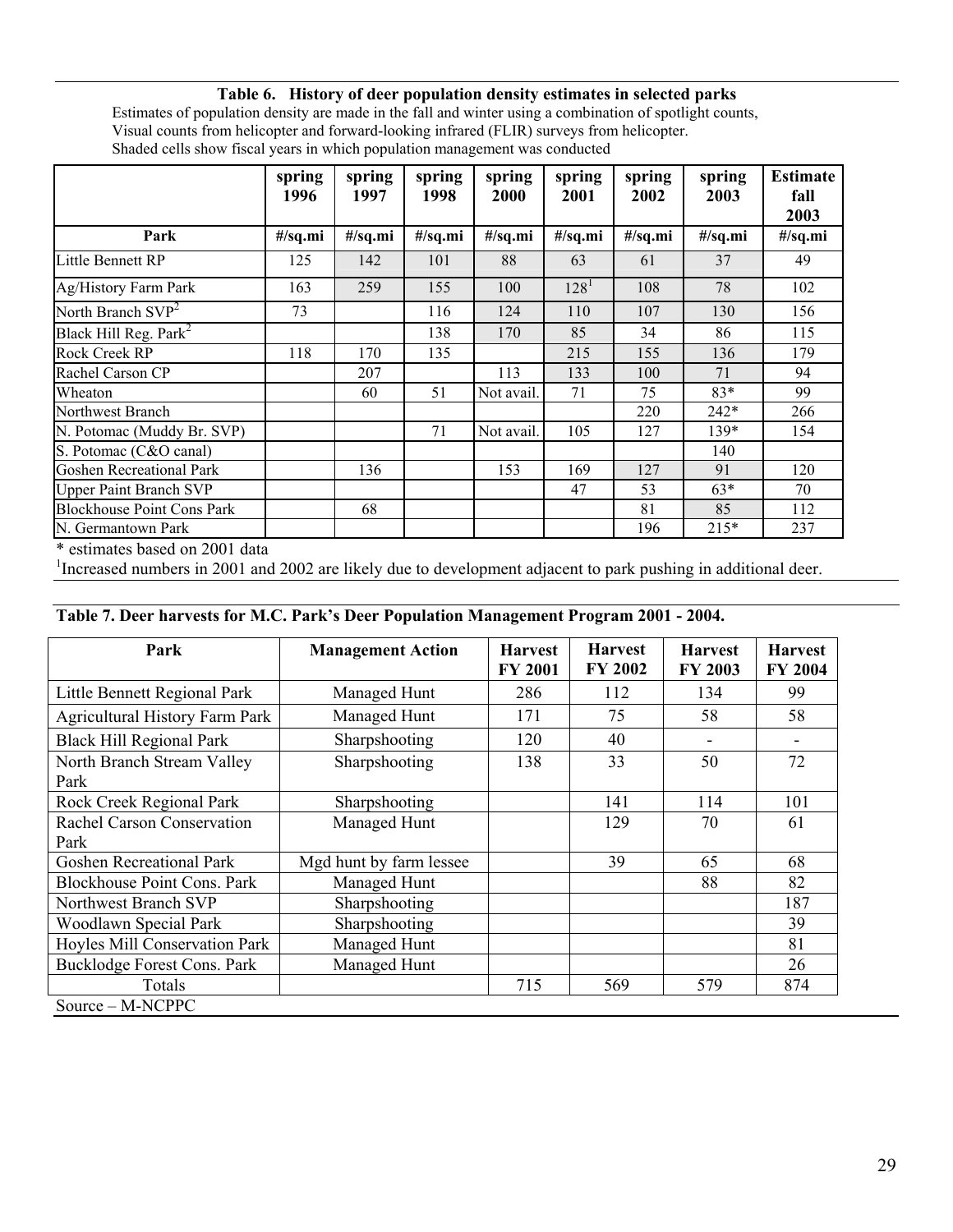# **Table 6. History of deer population density estimates in selected parks**

Estimates of population density are made in the fall and winter using a combination of spotlight counts, Visual counts from helicopter and forward-looking infrared (FLIR) surveys from helicopter. Shaded cells show fiscal years in which population management was conducted

|                                   | spring<br>1996 | spring<br>1997 | spring<br>1998 | spring<br>2000 | spring<br>2001 | spring<br>2002 | spring<br>2003 | <b>Estimate</b><br>fall<br>2003 |
|-----------------------------------|----------------|----------------|----------------|----------------|----------------|----------------|----------------|---------------------------------|
| Park                              | #/sq.mi        | #/sq.mi        | #/sq.mi        | #/sq.mi        | #/sq.mi        | #/sq.mi        | #/sq.mi        | #/sq.mi                         |
| Little Bennett RP                 | 125            | 142            | 101            | 88             | 63             | 61             | 37             | 49                              |
| Ag/History Farm Park              | 163            | 259            | 155            | 100            | $128^1$        | 108            | 78             | 102                             |
| North Branch $SVP2$               | 73             |                | 116            | 124            | 110            | 107            | 130            | 156                             |
| Black Hill Reg. Park <sup>2</sup> |                |                | 138            | 170            | 85             | 34             | 86             | 115                             |
| Rock Creek RP                     | 118            | 170            | 135            |                | 215            | 155            | 136            | 179                             |
| Rachel Carson CP                  |                | 207            |                | 113            | 133            | 100            | 71             | 94                              |
| Wheaton                           |                | 60             | 51             | Not avail.     | 71             | 75             | $83*$          | 99                              |
| Northwest Branch                  |                |                |                |                |                | 220            | $242*$         | 266                             |
| N. Potomac (Muddy Br. SVP)        |                |                | 71             | Not avail.     | 105            | 127            | 139*           | 154                             |
| S. Potomac (C&O canal)            |                |                |                |                |                |                | 140            |                                 |
| <b>Goshen Recreational Park</b>   |                | 136            |                | 153            | 169            | 127            | 91             | 120                             |
| <b>Upper Paint Branch SVP</b>     |                |                |                |                | 47             | 53             | $63*$          | 70                              |
| <b>Blockhouse Point Cons Park</b> |                | 68             |                |                |                | 81             | 85             | 112                             |
| N. Germantown Park                |                |                |                |                |                | 196            | $215*$         | 237                             |

\* estimates based on 2001 data

<sup>1</sup>Increased numbers in 2001 and 2002 are likely due to development adjacent to park pushing in additional deer.

#### **Table 7. Deer harvests for M.C. Park's Deer Population Management Program 2001 - 2004.**

| Park                                  | <b>Management Action</b> | <b>Harvest</b><br><b>FY 2001</b> | <b>Harvest</b><br>FY 2002 | <b>Harvest</b><br><b>FY 2003</b> | <b>Harvest</b><br><b>FY 2004</b> |
|---------------------------------------|--------------------------|----------------------------------|---------------------------|----------------------------------|----------------------------------|
| Little Bennett Regional Park          | Managed Hunt             | 286                              | 112                       | 134                              | 99                               |
| <b>Agricultural History Farm Park</b> | Managed Hunt             | 171                              | 75                        | 58                               | 58                               |
| <b>Black Hill Regional Park</b>       | Sharpshooting            | 120                              | 40                        |                                  |                                  |
| North Branch Stream Valley<br>Park    | Sharpshooting            | 138                              | 33                        | 50                               | 72                               |
| Rock Creek Regional Park              | Sharpshooting            |                                  | 141                       | 114                              | 101                              |
| Rachel Carson Conservation            | Managed Hunt             |                                  | 129                       | 70                               | 61                               |
| Park                                  |                          |                                  |                           |                                  |                                  |
| <b>Goshen Recreational Park</b>       | Mgd hunt by farm lessee  |                                  | 39                        | 65                               | 68                               |
| <b>Blockhouse Point Cons. Park</b>    | Managed Hunt             |                                  |                           | 88                               | 82                               |
| Northwest Branch SVP                  | Sharpshooting            |                                  |                           |                                  | 187                              |
| Woodlawn Special Park                 | Sharpshooting            |                                  |                           |                                  | 39                               |
| Hoyles Mill Conservation Park         | Managed Hunt             |                                  |                           |                                  | 81                               |
| Bucklodge Forest Cons. Park           | Managed Hunt             |                                  |                           |                                  | 26                               |
| Totals                                |                          | 715                              | 569                       | 579                              | 874                              |
| Source – M-NCPPC                      |                          |                                  |                           |                                  |                                  |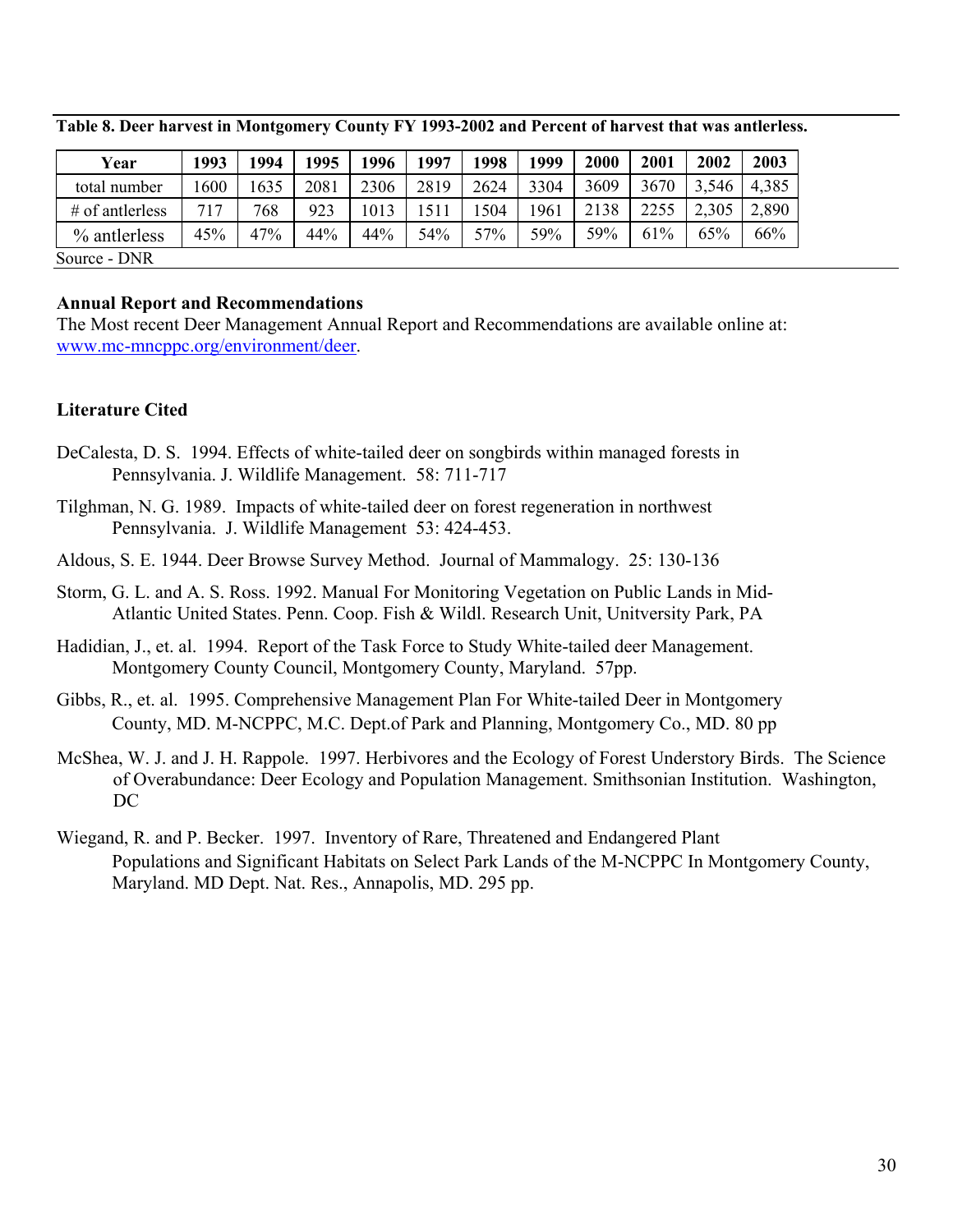| Year              | 1993 | 1994 | 1995 | 1996 | 1997 | 1998 | 1999 | 2000 | 2001 | 2002  | 2003  |
|-------------------|------|------|------|------|------|------|------|------|------|-------|-------|
| total number      | 600  | 1635 | 2081 | 2306 | 2819 | 2624 | 3304 | 3609 | 3670 | 3,546 | 4,385 |
| $#$ of antierless | 717  | 768  | 923  | 1013 | 511  | 504  | 1961 | 2138 | 2255 | 2,305 | 2,890 |
| $\%$ antierless   | 45%  | 47%  | 44%  | 44%  | 54%  | 57%  | 59%  | 59%  | 61%  | 65%   | 66%   |
| Source - DNR      |      |      |      |      |      |      |      |      |      |       |       |

**Table 8. Deer harvest in Montgomery County FY 1993-2002 and Percent of harvest that was antlerless.** 

#### **Annual Report and Recommendations**

The Most recent Deer Management Annual Report and Recommendations are available online at: [www.mc-mncppc.org/environment/deer.](http://www.mc-mncppc.org/environmental/deer)

# **Literature Cited**

- DeCalesta, D. S. 1994. Effects of white-tailed deer on songbirds within managed forests in Pennsylvania. J. Wildlife Management. 58: 711-717
- Tilghman, N. G. 1989. Impacts of white-tailed deer on forest regeneration in northwest Pennsylvania. J. Wildlife Management 53: 424-453.
- Aldous, S. E. 1944. Deer Browse Survey Method. Journal of Mammalogy. 25: 130-136
- Storm, G. L. and A. S. Ross. 1992. Manual For Monitoring Vegetation on Public Lands in Mid- Atlantic United States. Penn. Coop. Fish & Wildl. Research Unit, Unitversity Park, PA
- Hadidian, J., et. al. 1994. Report of the Task Force to Study White-tailed deer Management. Montgomery County Council, Montgomery County, Maryland. 57pp.
- Gibbs, R., et. al. 1995. Comprehensive Management Plan For White-tailed Deer in Montgomery County, MD. M-NCPPC, M.C. Dept.of Park and Planning, Montgomery Co., MD. 80 pp
- McShea, W. J. and J. H. Rappole. 1997. Herbivores and the Ecology of Forest Understory Birds. The Science of Overabundance: Deer Ecology and Population Management. Smithsonian Institution. Washington, D<sub>C</sub>
- Wiegand, R. and P. Becker. 1997. Inventory of Rare, Threatened and Endangered Plant Populations and Significant Habitats on Select Park Lands of the M-NCPPC In Montgomery County, Maryland. MD Dept. Nat. Res., Annapolis, MD. 295 pp.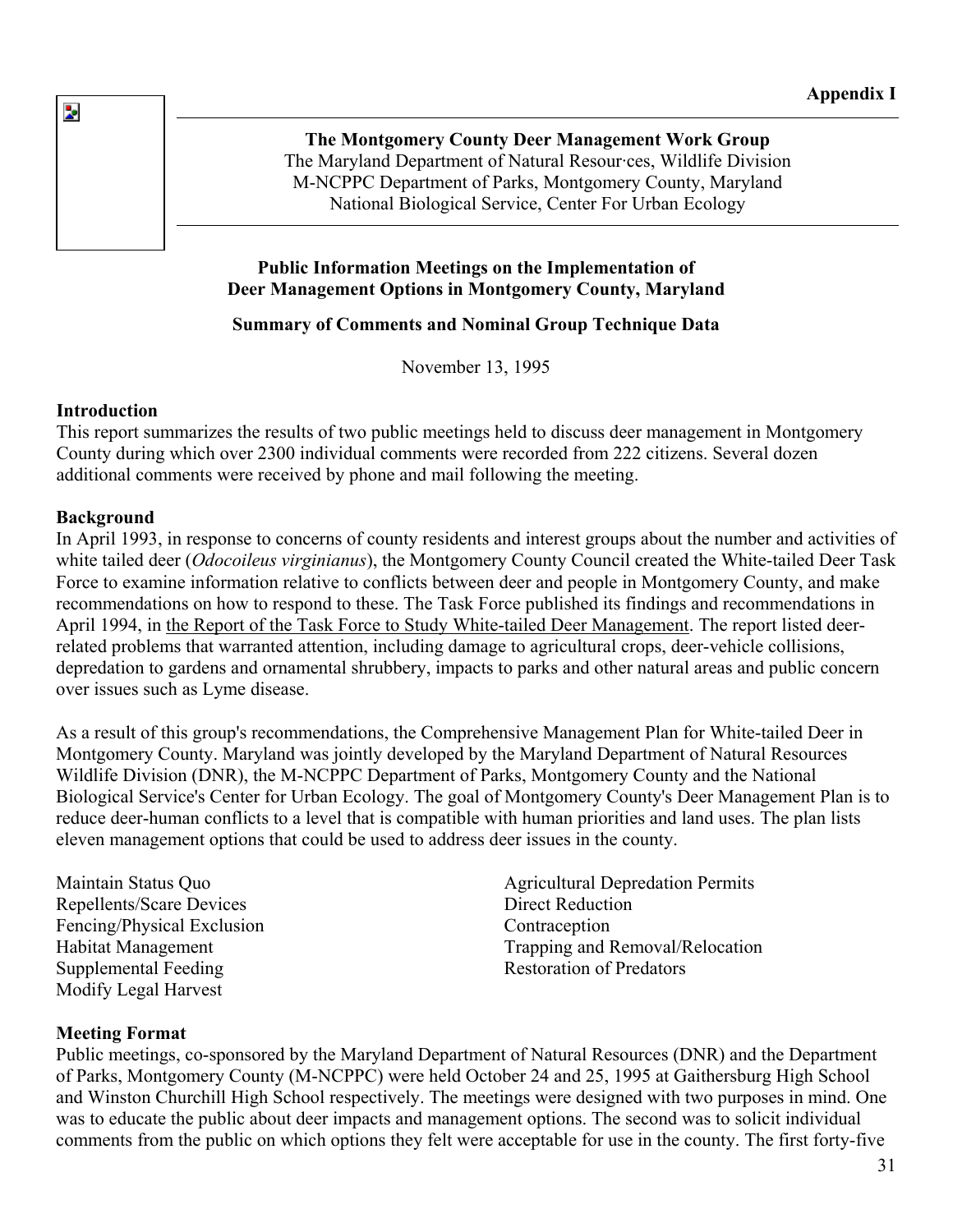**The Montgomery County Deer Management Work Group**  The Maryland Department of Natural Resour·ces, Wildlife Division M-NCPPC Department of Parks, Montgomery County, Maryland National Biological Service, Center For Urban Ecology

# **Public Information Meetings on the Implementation of Deer Management Options in Montgomery County, Maryland**

# **Summary of Comments and Nominal Group Technique Data**

November 13, 1995

# **Introduction**

 $\overline{\mathbf{z}}$ 

This report summarizes the results of two public meetings held to discuss deer management in Montgomery County during which over 2300 individual comments were recorded from 222 citizens. Several dozen additional comments were received by phone and mail following the meeting.

#### **Background**

In April 1993, in response to concerns of county residents and interest groups about the number and activities of white tailed deer (*Odocoileus virginianus*), the Montgomery County Council created the White-tailed Deer Task Force to examine information relative to conflicts between deer and people in Montgomery County, and make recommendations on how to respond to these. The Task Force published its findings and recommendations in April 1994, in the Report of the Task Force to Study White-tailed Deer Management. The report listed deerrelated problems that warranted attention, including damage to agricultural crops, deer-vehicle collisions, depredation to gardens and ornamental shrubbery, impacts to parks and other natural areas and public concer n over issues such as Lyme disease.

As a result of this group's recomme ndations, the Comprehensive Management Plan for White-tailed Deer in Montgomery County. Maryland was jointly developed by the Maryland Department of Natural Resources Biological Service's Center for Urban Ecology. The goal of Montgomery County's Deer Management Plan is to reduce deer-human conflicts to a level that is compatible with human priorities and land uses. The plan lists Wildlife Division (DNR), the M-NCPPC Department of Parks, Montgomery County and the National eleven management options that could be used to address deer issues in the county.

Repellents/Scare Devices Fencing/Physical Exclusion Habitat Management Supplemental Feeding Modify Legal Harvest

Maintain Status Quo **Agricultural Depredation Permits** Direct Reduction Trapping and Removal/Relocation Restoration of Predators **Contraception** 

# **Meeting Format**

Public meetings, co-sponsored by the Maryland Department of Natural Resources (DNR) and the Department of Parks, Montgomery County (M-NCPPC) were held October 24 and 25, 1995 at Gaithersburg High School and Winston Churchill High School respectively. The meetings were designed with two purposes in mind. One was to educate the public about deer impacts and management options. The second was to solicit individual comments from the public on which options they felt were acceptable for use in the county. The first forty-five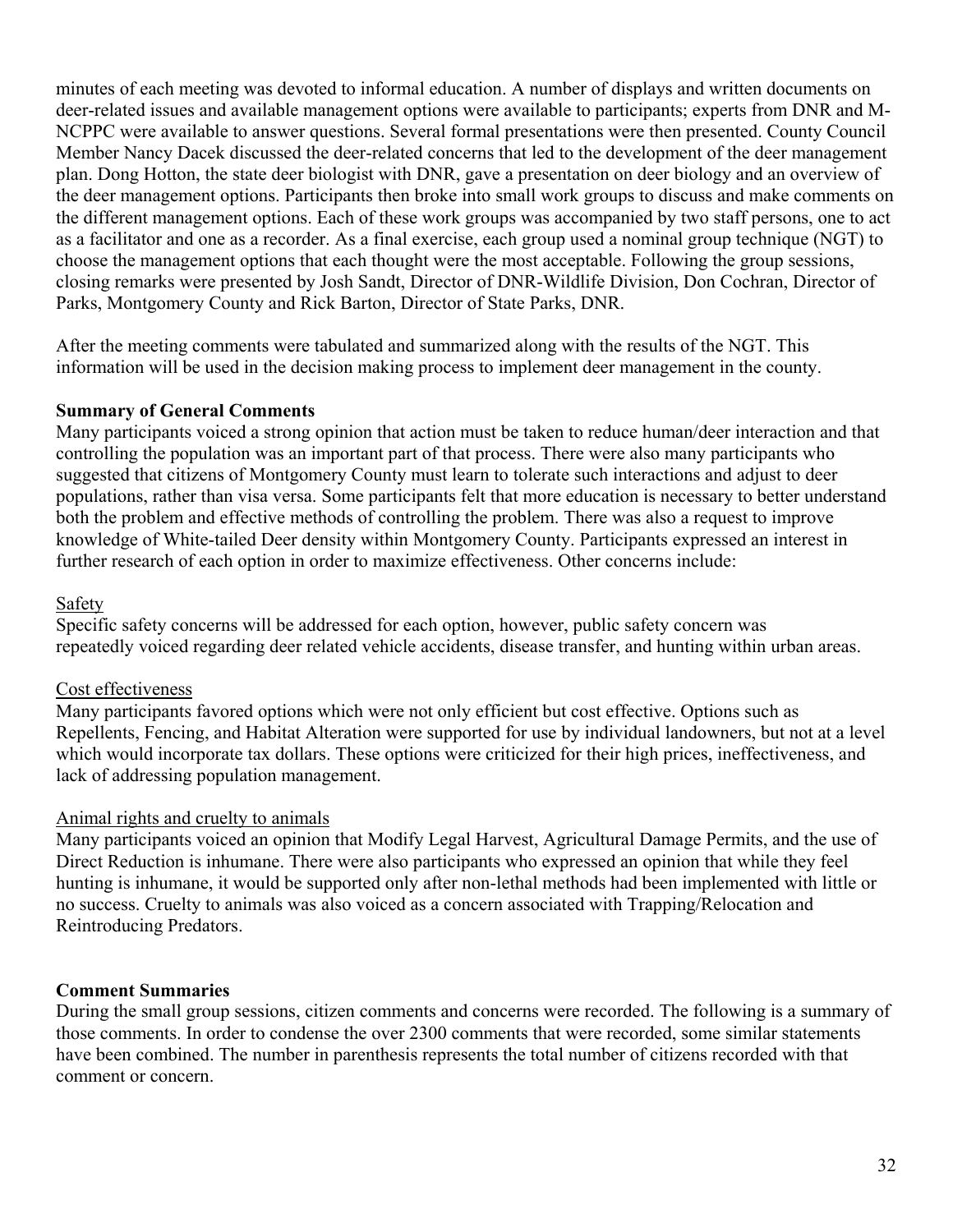minutes of each meeting was devoted to informal education. A number of displays and written documents on deer-related issues and available management options were available to participants; experts from DNR and M-NCPPC were available to answer questions. Several formal presentations were then presented. County Counci l Member Nancy Dacek discussed the deer-related concerns that led to the development of the deer management plan. Dong Hotton, the state deer biologist with DNR, gave a presentation on deer biology and an overview of the deer management options. Participants then broke into small work groups to discuss and make comments on the different management options. Each of these work groups was accompanied by two staff persons, one to act as a facilitator and one as a recorder. As a final exercise, each group used a nominal group technique (NGT) to choose the management options that each thought were the most acceptable. Following the group sessions, closing remarks were presented by Josh Sandt, Director of DNR-Wildlife Division, Don Cochran, Director of Parks, Montgomery County and Rick Barton, Director of State Parks, DNR.

After the meeting comments were tabulated and summarized along with the r esults of the NGT. This information will be used in the decision making process to implement deer management in the county.

# **Summary of General Comments**

Many participants voiced a strong opinion that action must be taken to reduce human/deer interaction and that controlling the population was an important part of that process. There were also many participants who populations, rather than visa versa. Some participants felt that more education is necessary to better understand suggested that citizens of Montgomery County must learn to tolerate such interactions and adjust to deer both the problem and effective methods of controlling the problem. There was also a request to improve knowledge of White-tailed Deer density within Montgomery County. Participants expressed an interest in further research of each option in order to maximize effectiveness. Other concerns include:

# Safety

Specific safety concerns will be addressed for each option, however, public safety concern was repeatedly voiced regarding deer related vehicle accidents, disease transfer, and hunting within urban areas.

# Cost effectiveness

Many participants favored options which were not only efficient but cost effective. Options such as Repellents, Fencing, and Habitat Alteration were supported for use by individual landowners, but not at a level which would incorporate tax dollars. These options were criticized for their high prices, ineffectiveness, and lack of addressing population management.

# Animal rights and cruelty to animals

Many participants voiced an opinion that Modify Legal Harvest, Agricultural Damage Permits, and the use of Direct Reduction is inhumane. There were also participants who expressed an opinion that while they feel hunting is inhumane, it would be supported only after non-lethal methods had been implemented with little or no success. Cruelty to animals was also voiced as a concern associated with Trapping/Relocation and Reintroducing Predators.

# **Comment Summaries**

During the small group sessions, citizen comments and concerns were recorded. The following is a summary of those comments. In order to condense the over 2300 comments that were recorded, some similar statements have been combined. The number in parenthesis represents the total number of citizens recorded with that comment or concern.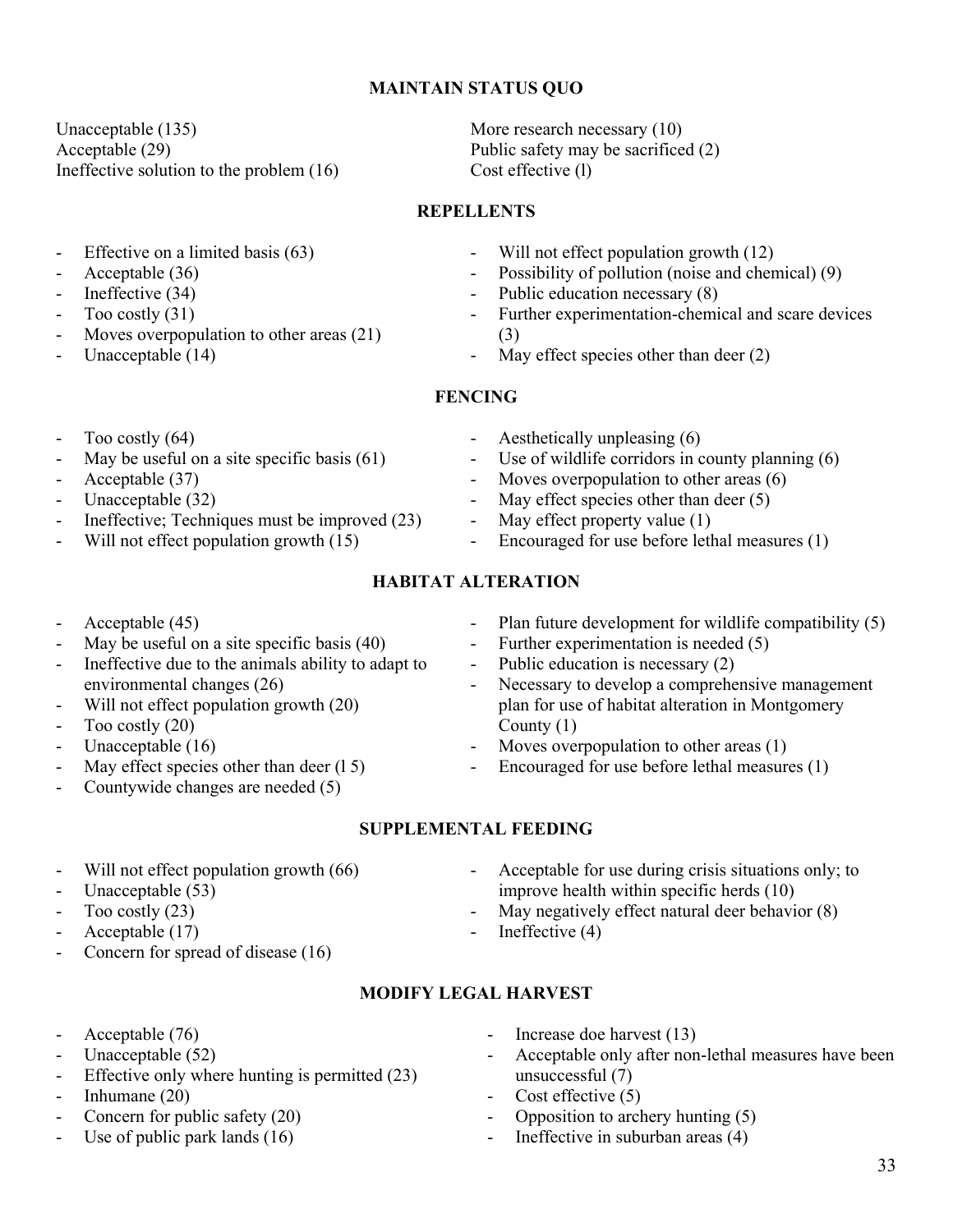# **MAINTAIN STATUS QUO**

Unacceptable (135) Acceptable (29) Ineffective solution to the problem (16) Cost effective (1)

- Effective on a limited basis (63)
- Acceptable (36)
- Ineffective (34)
- Too costly (31)
- Moves overpopulation to other areas  $(21)$
- Unacceptable (14)
- Too costly  $(64)$
- May be useful on a site specific basis  $(61)$
- Acceptable (37)
- Unacceptable (32)
- Ineffective; Techniques must be improved  $(23)$
- Will not effect population growth  $(15)$
- Acceptable (45)
- May be useful on a site specific basis  $(40)$
- Ineffective due to the animals ability to adapt to environmental changes (26)
- Will not effect population growth (20)
- Too costly (20)
- Unacceptable (16)
- May effect species other than deer  $(1 5)$
- Countywide changes are needed  $(5)$ 
	- **SUPPLEMENTAL FEEDING**
- Will not effect population growth (66)
- Unacceptable (53)
- Too costly (23)
- Acceptable (17)
- Concern for spread of disease  $(16)$
- **MODIFY LEGAL HARVEST**

- Acceptable (76)
- Unacceptable (52)
- Effective only where hunting is permitted  $(23)$
- Inhumane  $(20)$
- Concern for public safety  $(20)$
- Use of public park lands (16)

More research necessary  $(10)$ Public safety may be sacrificed (2)

#### **REPEL LENTS**

- Will not effect population growth (12)
- Possibility of pollution (noise and chemical) (9)
- Public education necessary (8)
- Further experimentation-chemical and scare devices (3)
- May effect species other than deer (2)

#### **FENCING**

- Aesthetically unpleasing  $(6)$
- Use of wildlife corridors in county planning  $(6)$
- Moves overpopulation to other areas  $(6)$
- May effect species other than deer (5)
- May effect property value (1)
- Encouraged for use before lethal measures  $(1)$

# **HABITAT ALTERATION**

- Plan future development for wildlife compatibility (5)
- Further experimentation is needed (5)
- Public education is necessary (2)
- Necessary to develop a comprehensive management plan for use of habitat alteration in Montgomery County (1)
- Moves overpopulation to other areas (1)
- Encouraged for use before lethal measures  $(1)$
- Acceptable for use during crisis situations only; to improve health within specific herds (10)
- May negatively effect natural deer behavior (8)
- Ineffective (4)

- Increase doe harvest (13)
- Acceptable only after non-lethal measures have been unsuccessful (7)
- Cost effective (5)
- Opposition to archery hunting (5)
- Ineffective in suburban areas  $(4)$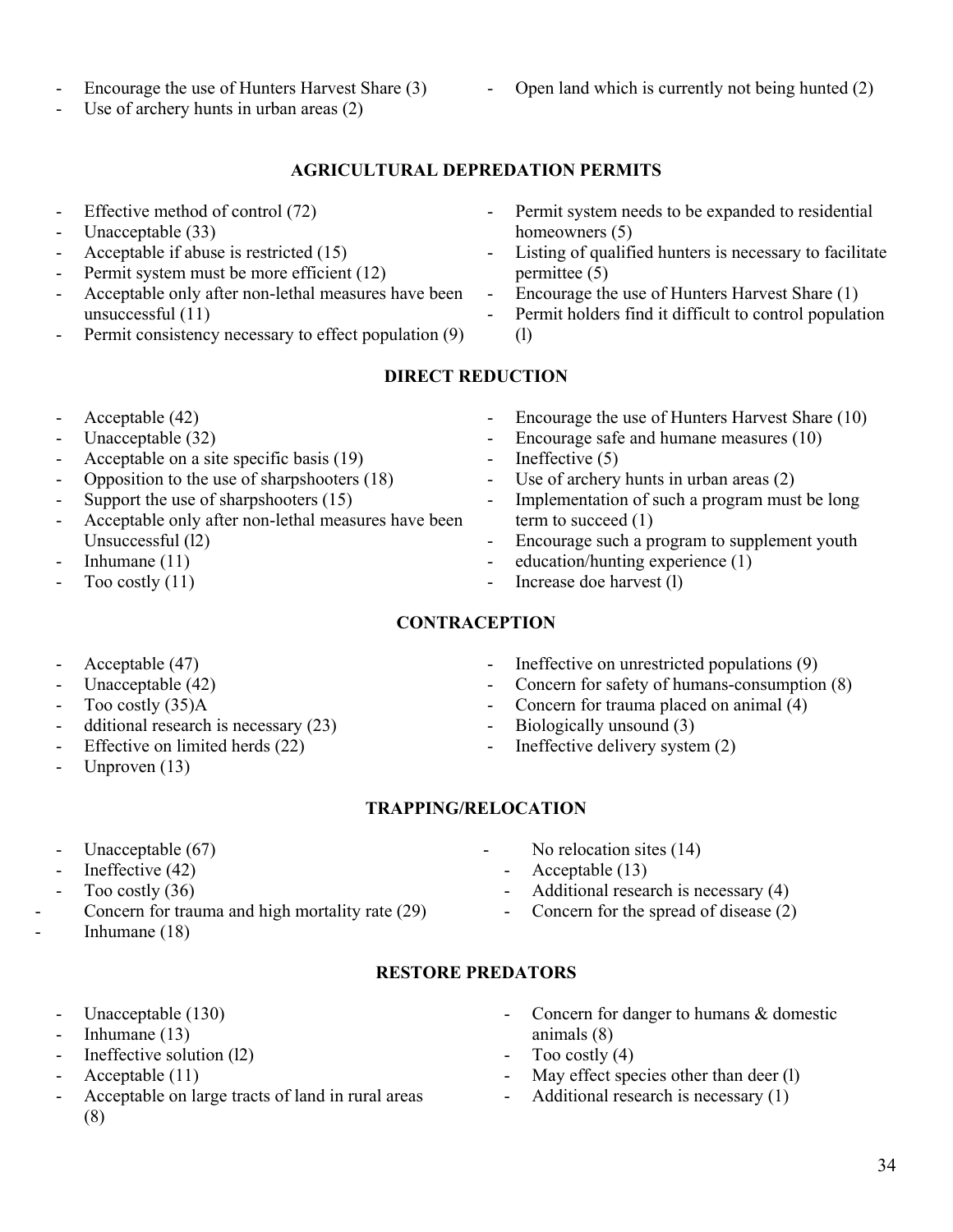- Encourage the use of Hunters Harvest Share (3)
- Use of archery hunts in urban areas (2)
- Open land which is currently not being hunted (2)

# **AGRICULTURAL DEPREDATION PERMITS**

- Effective method of control (72)
- Unacceptable (33)
- Acceptable if abuse is restricted (15)
- Permit system must be more efficient (12)
- Acceptable only after non-lethal measures have been unsuccessful (11)
- Permit consistency necessary to effect population (9)
- (72) Permit system needs to be expanded to residential homeowners (5)
	- Listing of qualified hunters is necessary to facilitate permittee (5)
	- Encourage the use of Hunters Harvest Share (1)
	- Permit holders find it difficult to control population (l)

# **DIRECT REDUCTION**

- Acceptable (42)
- Unacceptable (32)
- Acceptable on a site specific basis (19)
- Opposition to the use of sharpshooters (18)
- Support the use of sharpshooters (15)
- Acceptable only after non-lethal measures have been Unsuccessful (l2)
- Inhumane (11)
- Too costly (11)

 $$ 

- Acceptable (47)
- Unacceptable (42)
- Too costly (35)A
- dditional research is necessary (23)
- Effective on limited herds  $(22)$
- Unproven  $(13)$

- Encourage safe and humane measures (10)

- Encourage the use of Hunters Harvest Share (10)

- Ineffective  $(5)$
- Use of archery hunts in urban areas (2)
- Implementation of such a program must be long term to succeed (1)
- Encourage such a program to supplement youth
- education/hunting experience (1)
- Increase doe harvest (l)
- - Ineffective on unrestricted populations (9)
	- Concern for safety of humans-consumption (8)
	- Concern for trauma placed on animal (4)
	-
	-
- **TRAPPING/RELOCATION**

- Unacceptable (67)
- Ineffective (42)
- Too costly (36)

-

- Concern for trauma and high mortality rate (29) Inhumane (18)
	- Unacceptable (130)
	- Inhumane  $(13)$
	- Ineffective solution (12)
	- Acceptable (11)
	- Acceptable on large tracts of land in rural areas (8)
- Concern for danger to humans  $&$  domestic animals (8)
- Too costly  $(4)$
- May effect species other than deer (l)
- Additional research is necessary (1)
- -
	-
	- Biologically unsound (3)
	- Ineffective delivery system  $(2)$
- - No relocation sites (14)
		- Acceptable (13)
		- Additional research is necessary  $(4)$
		- Concern for the spread of disease  $(2)$

# **RESTORE PREDATORS**

- 
-